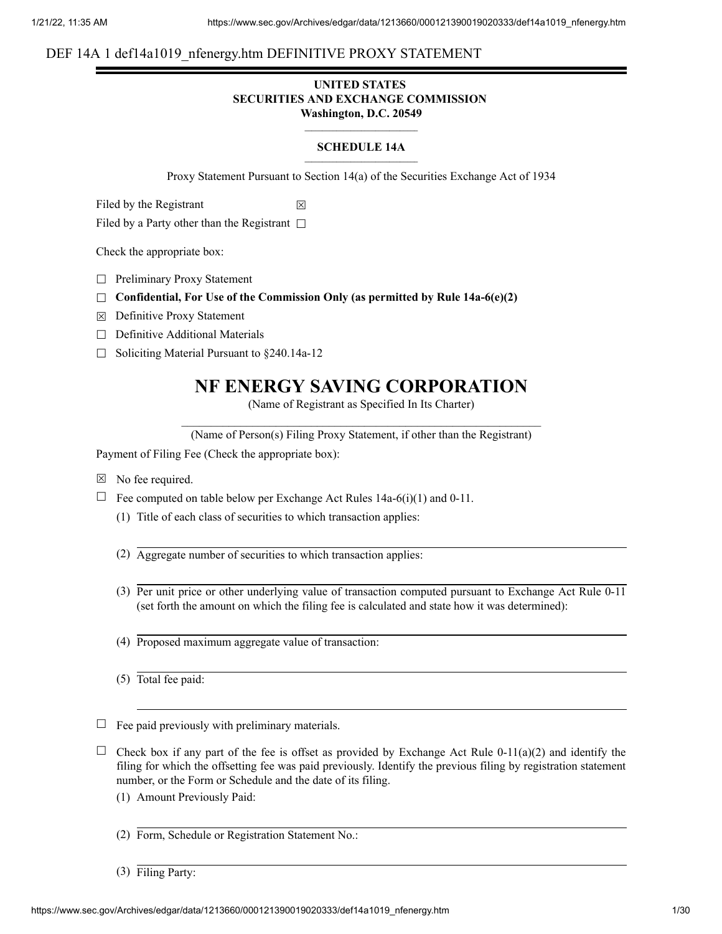## DEF 14A 1 def14a1019 nfenergy.htm DEFINITIVE PROXY STATEMENT

#### **UNITED STATES SECURITIES AND EXCHANGE COMMISSION Washington, D.C. 20549**

#### **SCHEDULE 14A**

Proxy Statement Pursuant to Section 14(a) of the Securities Exchange Act of 1934

Filed by the Registrant  $\boxtimes$ 

Filed by a Party other than the Registrant  $\Box$ 

Check the appropriate box:

- □ Preliminary Proxy Statement
- £ **Confidential, For Use of the Commission Only (as permitted by Rule 14a-6(e)(2)**
- $\boxtimes$  Definitive Proxy Statement
- $\Box$  Definitive Additional Materials
- $\Box$  Soliciting Material Pursuant to §240.14a-12

# **NF ENERGY SAVING CORPORATION**

(Name of Registrant as Specified In Its Charter)

(Name of Person(s) Filing Proxy Statement, if other than the Registrant)

Payment of Filing Fee (Check the appropriate box):

- $\boxtimes$  No fee required.
- $\Box$  Fee computed on table below per Exchange Act Rules 14a-6(i)(1) and 0-11.
	- (1) Title of each class of securities to which transaction applies:
	- (2) Aggregate number of securities to which transaction applies:
	- (3) Per unit price or other underlying value of transaction computed pursuant to Exchange Act Rule 0-11 (set forth the amount on which the filing fee is calculated and state how it was determined):
	- (4) Proposed maximum aggregate value of transaction:
	- (5) Total fee paid:

 $\Box$  Fee paid previously with preliminary materials.

- $\Box$  Check box if any part of the fee is offset as provided by Exchange Act Rule 0-11(a)(2) and identify the filing for which the offsetting fee was paid previously. Identify the previous filing by registration statement number, or the Form or Schedule and the date of its filing.
	- (1) Amount Previously Paid:
	- (2) Form, Schedule or Registration Statement No.:

(3) Filing Party: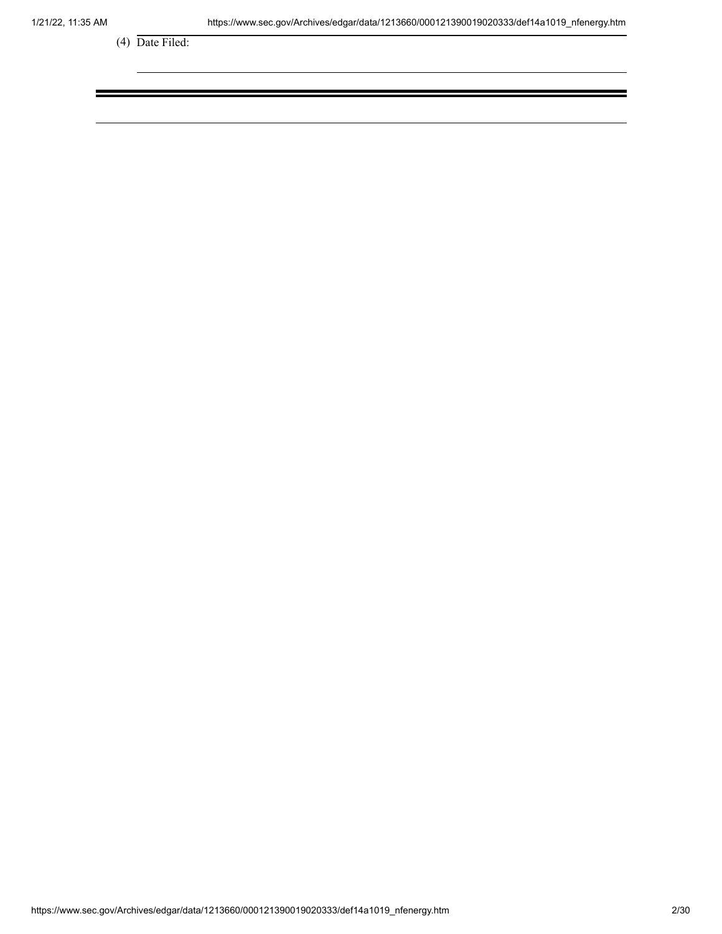(4) Date Filed: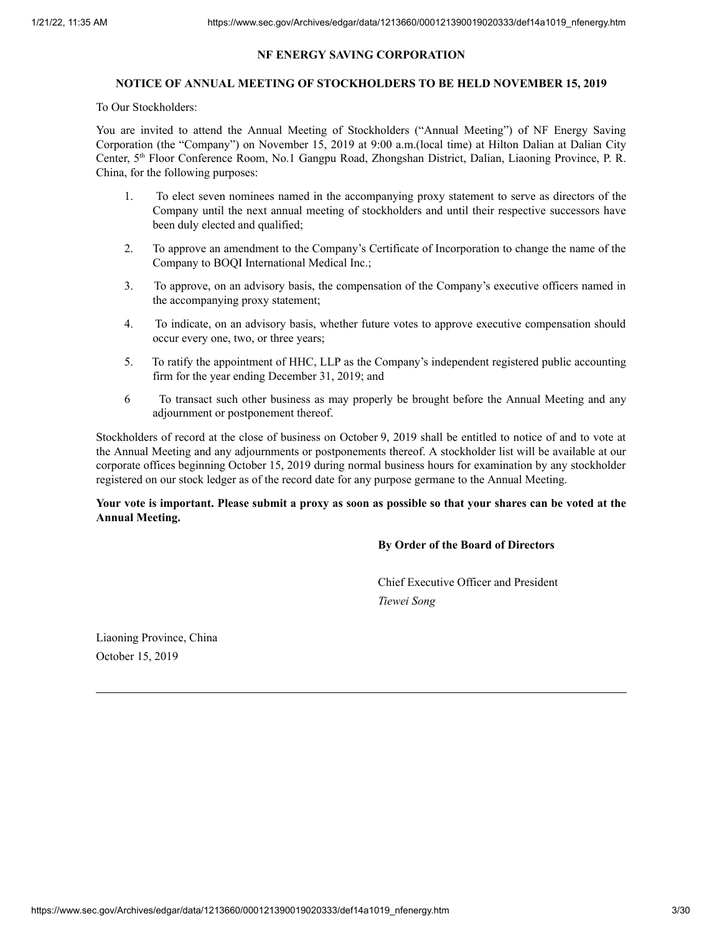#### **NF ENERGY SAVING CORPORATION**

#### **NOTICE OF ANNUAL MEETING OF STOCKHOLDERS TO BE HELD NOVEMBER 15, 2019**

To Our Stockholders:

You are invited to attend the Annual Meeting of Stockholders ("Annual Meeting") of NF Energy Saving Corporation (the "Company") on November 15, 2019 at 9:00 a.m.(local time) at Hilton Dalian at Dalian City Center, 5<sup>th</sup> Floor Conference Room, No.1 Gangpu Road, Zhongshan District, Dalian, Liaoning Province, P. R. China, for the following purposes:

- 1. To elect seven nominees named in the accompanying proxy statement to serve as directors of the Company until the next annual meeting of stockholders and until their respective successors have been duly elected and qualified;
- 2. To approve an amendment to the Company's Certificate of Incorporation to change the name of the Company to BOQI International Medical Inc.;
- 3. To approve, on an advisory basis, the compensation of the Company's executive officers named in the accompanying proxy statement;
- 4. To indicate, on an advisory basis, whether future votes to approve executive compensation should occur every one, two, or three years;
- 5. To ratify the appointment of HHC, LLP as the Company's independent registered public accounting firm for the year ending December 31, 2019; and
- 6 To transact such other business as may properly be brought before the Annual Meeting and any adjournment or postponement thereof.

Stockholders of record at the close of business on October 9, 2019 shall be entitled to notice of and to vote at the Annual Meeting and any adjournments or postponements thereof. A stockholder list will be available at our corporate offices beginning October 15, 2019 during normal business hours for examination by any stockholder registered on our stock ledger as of the record date for any purpose germane to the Annual Meeting.

Your vote is important. Please submit a proxy as soon as possible so that your shares can be voted at the **Annual Meeting.**

#### **By Order of the Board of Directors**

Chief Executive Officer and President *Tiewei Song*

Liaoning Province, China October 15, 2019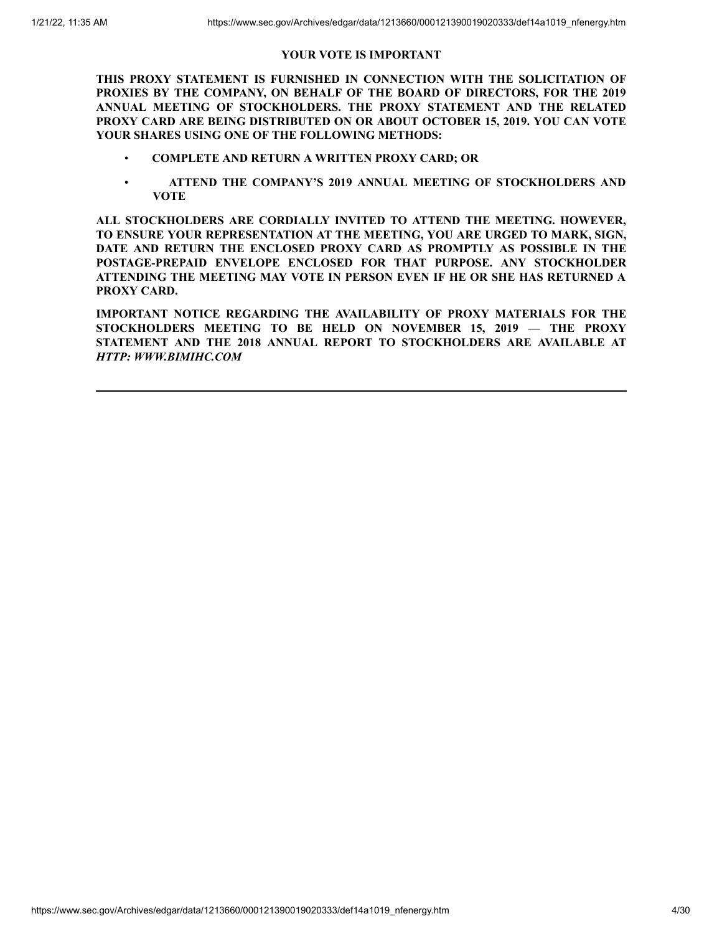#### **YOUR VOTE IS IMPORTANT**

**THIS PROXY STATEMENT IS FURNISHED IN CONNECTION WITH THE SOLICITATION OF PROXIES BY THE COMPANY, ON BEHALF OF THE BOARD OF DIRECTORS, FOR THE 2019 ANNUAL MEETING OF STOCKHOLDERS. THE PROXY STATEMENT AND THE RELATED PROXY CARD ARE BEING DISTRIBUTED ON OR ABOUT OCTOBER 15, 2019. YOU CAN VOTE YOUR SHARES USING ONE OF THE FOLLOWING METHODS:**

- **COMPLETE AND RETURN A WRITTEN PROXY CARD; OR**
- **ATTEND THE COMPANY'S 2019 ANNUAL MEETING OF STOCKHOLDERS AND VOTE**

**ALL STOCKHOLDERS ARE CORDIALLY INVITED TO ATTEND THE MEETING. HOWEVER, TO ENSURE YOUR REPRESENTATION AT THE MEETING, YOU ARE URGED TO MARK, SIGN, DATE AND RETURN THE ENCLOSED PROXY CARD AS PROMPTLY AS POSSIBLE IN THE POSTAGE-PREPAID ENVELOPE ENCLOSED FOR THAT PURPOSE. ANY STOCKHOLDER ATTENDING THE MEETING MAY VOTE IN PERSON EVEN IF HE OR SHE HAS RETURNED A PROXY CARD.**

**IMPORTANT NOTICE REGARDING THE AVAILABILITY OF PROXY MATERIALS FOR THE STOCKHOLDERS MEETING TO BE HELD ON NOVEMBER 15, 2019 — THE PROXY STATEMENT AND THE 2018 ANNUAL REPORT TO STOCKHOLDERS ARE AVAILABLE AT** *HTTP: WWW.BIMIHC.COM*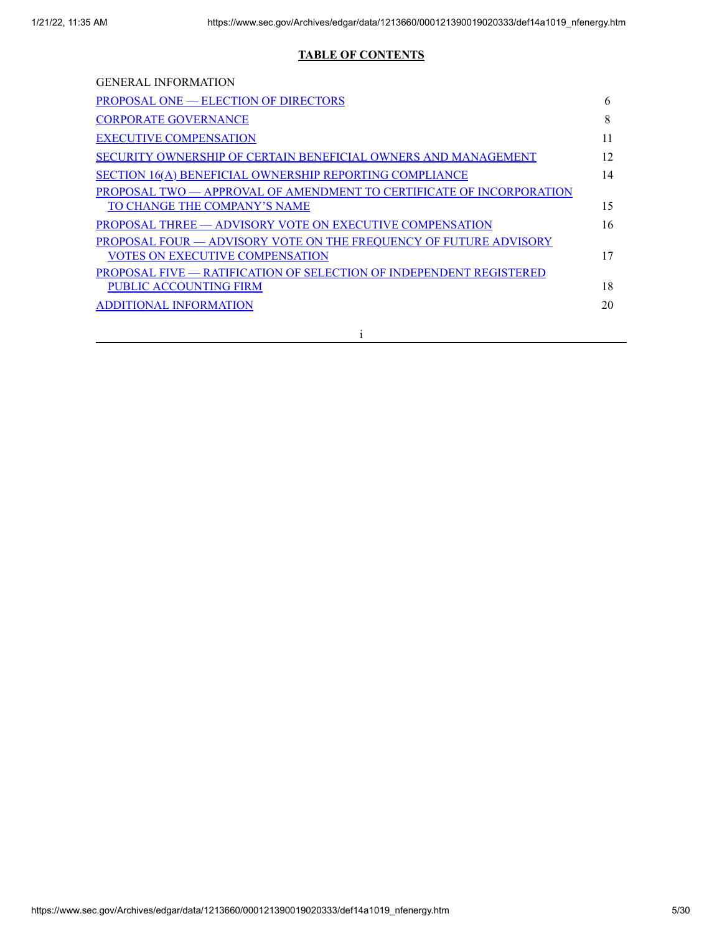### **TABLE OF CONTENTS**

| <b>GENERAL INFORMATION</b>                                           |    |
|----------------------------------------------------------------------|----|
| <b>PROPOSAL ONE — ELECTION OF DIRECTORS</b>                          | h  |
| <b>CORPORATE GOVERNANCE</b>                                          | 8  |
| <b>EXECUTIVE COMPENSATION</b>                                        | 11 |
| SECURITY OWNERSHIP OF CERTAIN BENEFICIAL OWNERS AND MANAGEMENT       | 12 |
| <b>SECTION 16(A) BENEFICIAL OWNERSHIP REPORTING COMPLIANCE</b>       | 14 |
| PROPOSAL TWO - APPROVAL OF AMENDMENT TO CERTIFICATE OF INCORPORATION |    |
| TO CHANGE THE COMPANY'S NAME                                         | 15 |
| <b>PROPOSAL THREE - ADVISORY VOTE ON EXECUTIVE COMPENSATION</b>      | 16 |
| PROPOSAL FOUR — ADVISORY VOTE ON THE FREQUENCY OF FUTURE ADVISORY    |    |
| <b>VOTES ON EXECUTIVE COMPENSATION</b>                               | 17 |
| PROPOSAL FIVE — RATIFICATION OF SELECTION OF INDEPENDENT REGISTERED  |    |
| <b>PUBLIC ACCOUNTING FIRM</b>                                        | 18 |
| <b>ADDITIONAL INFORMATION</b>                                        | 20 |
|                                                                      |    |

i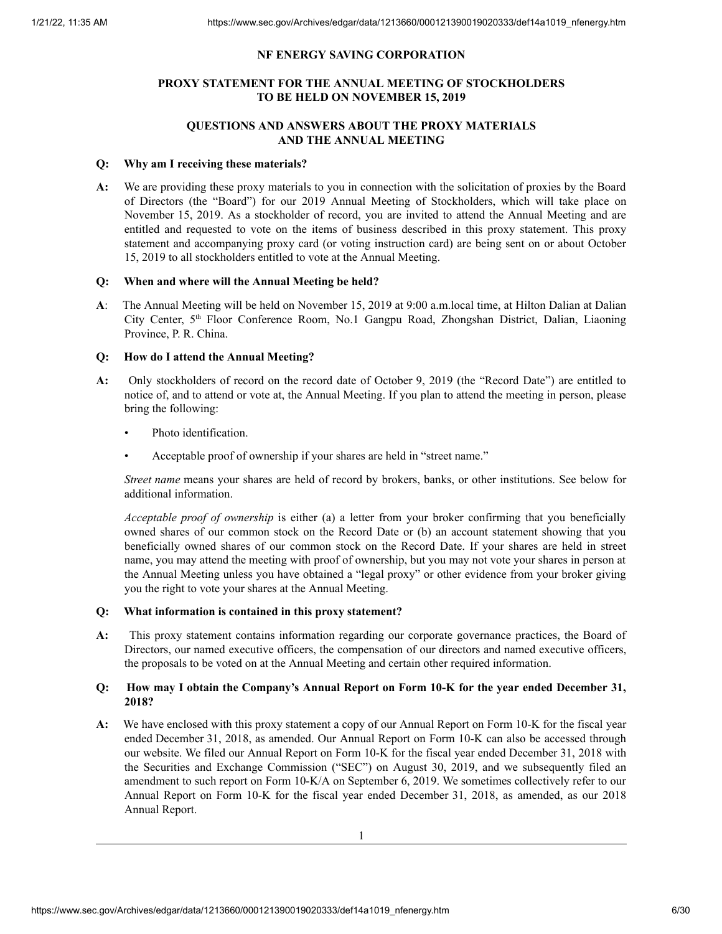#### **NF ENERGY SAVING CORPORATION**

#### **PROXY STATEMENT FOR THE ANNUAL MEETING OF STOCKHOLDERS TO BE HELD ON NOVEMBER 15, 2019**

#### **QUESTIONS AND ANSWERS ABOUT THE PROXY MATERIALS AND THE ANNUAL MEETING**

#### **Q: Why am I receiving these materials?**

**A:** We are providing these proxy materials to you in connection with the solicitation of proxies by the Board of Directors (the "Board") for our 2019 Annual Meeting of Stockholders, which will take place on November 15, 2019. As a stockholder of record, you are invited to attend the Annual Meeting and are entitled and requested to vote on the items of business described in this proxy statement. This proxy statement and accompanying proxy card (or voting instruction card) are being sent on or about October 15, 2019 to all stockholders entitled to vote at the Annual Meeting.

#### **Q: When and where will the Annual Meeting be held?**

**A**: The Annual Meeting will be held on November 15, 2019 at 9:00 a.m.local time, at Hilton Dalian at Dalian City Center, 5<sup>th</sup> Floor Conference Room, No.1 Gangpu Road, Zhongshan District, Dalian, Liaoning Province, P. R. China.

#### **Q: How do I attend the Annual Meeting?**

- **A:** Only stockholders of record on the record date of October 9, 2019 (the "Record Date") are entitled to notice of, and to attend or vote at, the Annual Meeting. If you plan to attend the meeting in person, please bring the following:
	- Photo identification.
	- Acceptable proof of ownership if your shares are held in "street name."

*Street name* means your shares are held of record by brokers, banks, or other institutions. See below for additional information.

*Acceptable proof of ownership* is either (a) a letter from your broker confirming that you beneficially owned shares of our common stock on the Record Date or (b) an account statement showing that you beneficially owned shares of our common stock on the Record Date. If your shares are held in street name, you may attend the meeting with proof of ownership, but you may not vote your shares in person at the Annual Meeting unless you have obtained a "legal proxy" or other evidence from your broker giving you the right to vote your shares at the Annual Meeting.

#### **Q: What information is contained in this proxy statement?**

**A:** This proxy statement contains information regarding our corporate governance practices, the Board of Directors, our named executive officers, the compensation of our directors and named executive officers, the proposals to be voted on at the Annual Meeting and certain other required information.

#### **Q: How may I obtain the Company's Annual Report on Form 10-K for the year ended December 31, 2018?**

**A:** We have enclosed with this proxy statement a copy of our Annual Report on Form 10-K for the fiscal year ended December 31, 2018, as amended. Our Annual Report on Form 10-K can also be accessed through our website. We filed our Annual Report on Form 10-K for the fiscal year ended December 31, 2018 with the Securities and Exchange Commission ("SEC") on August 30, 2019, and we subsequently filed an amendment to such report on Form 10-K/A on September 6, 2019. We sometimes collectively refer to our Annual Report on Form 10-K for the fiscal year ended December 31, 2018, as amended, as our 2018 Annual Report.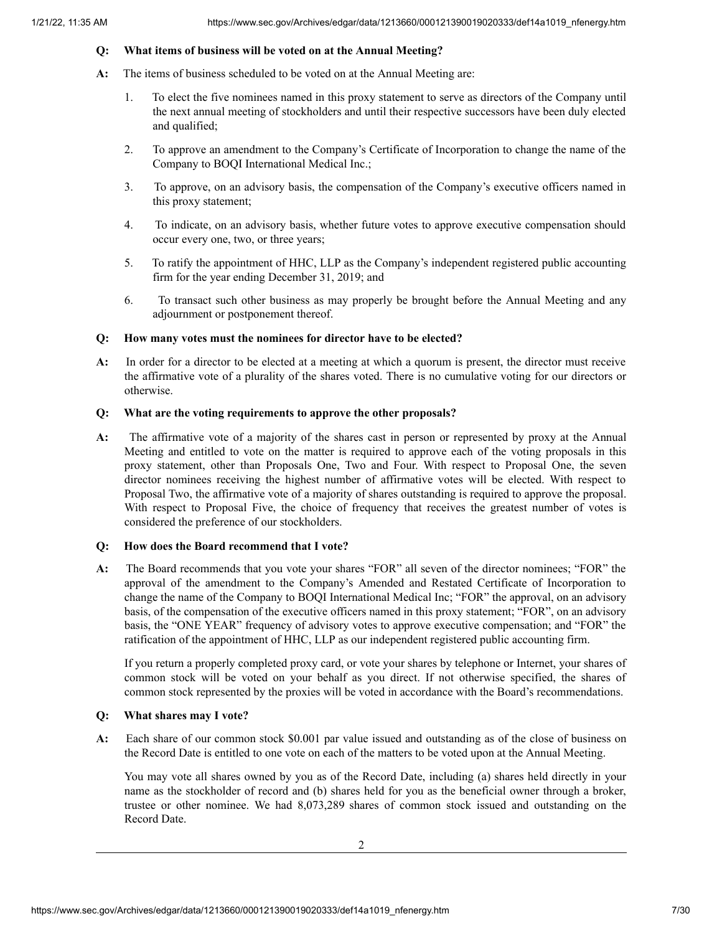#### **Q: What items of business will be voted on at the Annual Meeting?**

- **A:** The items of business scheduled to be voted on at the Annual Meeting are:
	- 1. To elect the five nominees named in this proxy statement to serve as directors of the Company until the next annual meeting of stockholders and until their respective successors have been duly elected and qualified;
	- 2. To approve an amendment to the Company's Certificate of Incorporation to change the name of the Company to BOQI International Medical Inc.;
	- 3. To approve, on an advisory basis, the compensation of the Company's executive officers named in this proxy statement;
	- 4. To indicate, on an advisory basis, whether future votes to approve executive compensation should occur every one, two, or three years;
	- 5. To ratify the appointment of HHC, LLP as the Company's independent registered public accounting firm for the year ending December 31, 2019; and
	- 6. To transact such other business as may properly be brought before the Annual Meeting and any adjournment or postponement thereof.

#### **Q: How many votes must the nominees for director have to be elected?**

**A:** In order for a director to be elected at a meeting at which a quorum is present, the director must receive the affirmative vote of a plurality of the shares voted. There is no cumulative voting for our directors or otherwise.

#### **Q: What are the voting requirements to approve the other proposals?**

**A:** The affirmative vote of a majority of the shares cast in person or represented by proxy at the Annual Meeting and entitled to vote on the matter is required to approve each of the voting proposals in this proxy statement, other than Proposals One, Two and Four. With respect to Proposal One, the seven director nominees receiving the highest number of affirmative votes will be elected. With respect to Proposal Two, the affirmative vote of a majority of shares outstanding is required to approve the proposal. With respect to Proposal Five, the choice of frequency that receives the greatest number of votes is considered the preference of our stockholders.

#### **Q: How does the Board recommend that I vote?**

**A:** The Board recommends that you vote your shares "FOR" all seven of the director nominees; "FOR" the approval of the amendment to the Company's Amended and Restated Certificate of Incorporation to change the name of the Company to BOQI International Medical Inc; "FOR" the approval, on an advisory basis, of the compensation of the executive officers named in this proxy statement; "FOR", on an advisory basis, the "ONE YEAR" frequency of advisory votes to approve executive compensation; and "FOR" the ratification of the appointment of HHC, LLP as our independent registered public accounting firm.

If you return a properly completed proxy card, or vote your shares by telephone or Internet, your shares of common stock will be voted on your behalf as you direct. If not otherwise specified, the shares of common stock represented by the proxies will be voted in accordance with the Board's recommendations.

#### **Q: What shares may I vote?**

**A:** Each share of our common stock \$0.001 par value issued and outstanding as of the close of business on the Record Date is entitled to one vote on each of the matters to be voted upon at the Annual Meeting.

You may vote all shares owned by you as of the Record Date, including (a) shares held directly in your name as the stockholder of record and (b) shares held for you as the beneficial owner through a broker, trustee or other nominee. We had 8,073,289 shares of common stock issued and outstanding on the Record Date.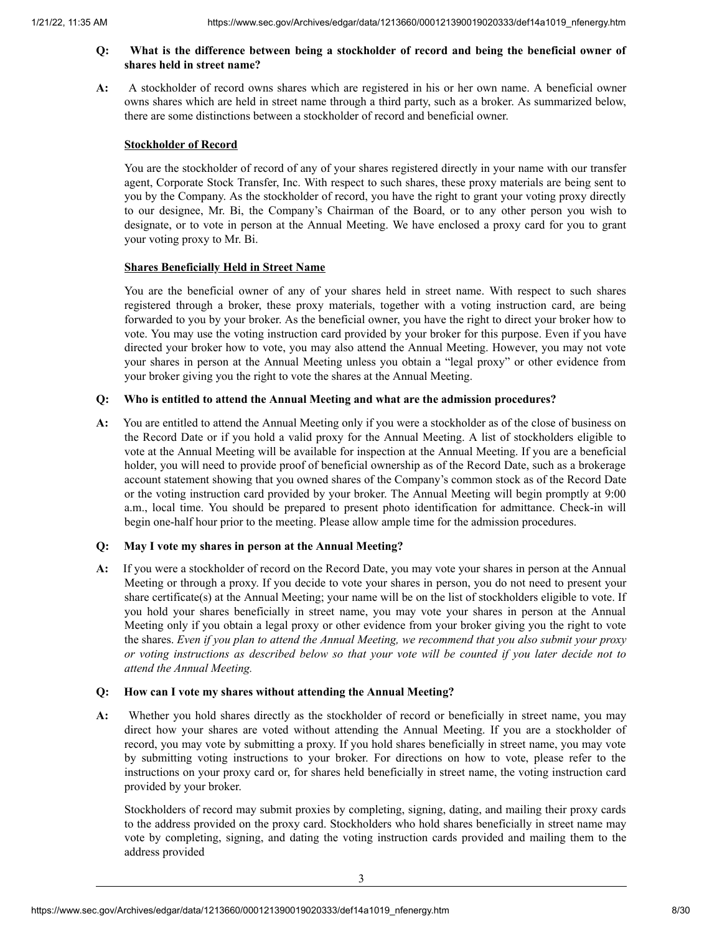#### **Q: What is the difference between being a stockholder of record and being the beneficial owner of shares held in street name?**

**A:** A stockholder of record owns shares which are registered in his or her own name. A beneficial owner owns shares which are held in street name through a third party, such as a broker. As summarized below, there are some distinctions between a stockholder of record and beneficial owner.

#### **Stockholder of Record**

You are the stockholder of record of any of your shares registered directly in your name with our transfer agent, Corporate Stock Transfer, Inc. With respect to such shares, these proxy materials are being sent to you by the Company. As the stockholder of record, you have the right to grant your voting proxy directly to our designee, Mr. Bi, the Company's Chairman of the Board, or to any other person you wish to designate, or to vote in person at the Annual Meeting. We have enclosed a proxy card for you to grant your voting proxy to Mr. Bi.

#### **Shares Beneficially Held in Street Name**

You are the beneficial owner of any of your shares held in street name. With respect to such shares registered through a broker, these proxy materials, together with a voting instruction card, are being forwarded to you by your broker. As the beneficial owner, you have the right to direct your broker how to vote. You may use the voting instruction card provided by your broker for this purpose. Even if you have directed your broker how to vote, you may also attend the Annual Meeting. However, you may not vote your shares in person at the Annual Meeting unless you obtain a "legal proxy" or other evidence from your broker giving you the right to vote the shares at the Annual Meeting.

#### **Q: Who is entitled to attend the Annual Meeting and what are the admission procedures?**

**A:** You are entitled to attend the Annual Meeting only if you were a stockholder as of the close of business on the Record Date or if you hold a valid proxy for the Annual Meeting. A list of stockholders eligible to vote at the Annual Meeting will be available for inspection at the Annual Meeting. If you are a beneficial holder, you will need to provide proof of beneficial ownership as of the Record Date, such as a brokerage account statement showing that you owned shares of the Company's common stock as of the Record Date or the voting instruction card provided by your broker. The Annual Meeting will begin promptly at 9:00 a.m., local time. You should be prepared to present photo identification for admittance. Check-in will begin one-half hour prior to the meeting. Please allow ample time for the admission procedures.

#### **Q: May I vote my shares in person at the Annual Meeting?**

**A:** If you were a stockholder of record on the Record Date, you may vote your shares in person at the Annual Meeting or through a proxy. If you decide to vote your shares in person, you do not need to present your share certificate(s) at the Annual Meeting; your name will be on the list of stockholders eligible to vote. If you hold your shares beneficially in street name, you may vote your shares in person at the Annual Meeting only if you obtain a legal proxy or other evidence from your broker giving you the right to vote the shares. *Even if you plan to attend the Annual Meeting, we recommend that you also submit your proxy* or voting instructions as described below so that your vote will be counted if you later decide not to *attend the Annual Meeting.*

#### **Q: How can I vote my shares without attending the Annual Meeting?**

**A:** Whether you hold shares directly as the stockholder of record or beneficially in street name, you may direct how your shares are voted without attending the Annual Meeting. If you are a stockholder of record, you may vote by submitting a proxy. If you hold shares beneficially in street name, you may vote by submitting voting instructions to your broker. For directions on how to vote, please refer to the instructions on your proxy card or, for shares held beneficially in street name, the voting instruction card provided by your broker.

Stockholders of record may submit proxies by completing, signing, dating, and mailing their proxy cards to the address provided on the proxy card. Stockholders who hold shares beneficially in street name may vote by completing, signing, and dating the voting instruction cards provided and mailing them to the address provided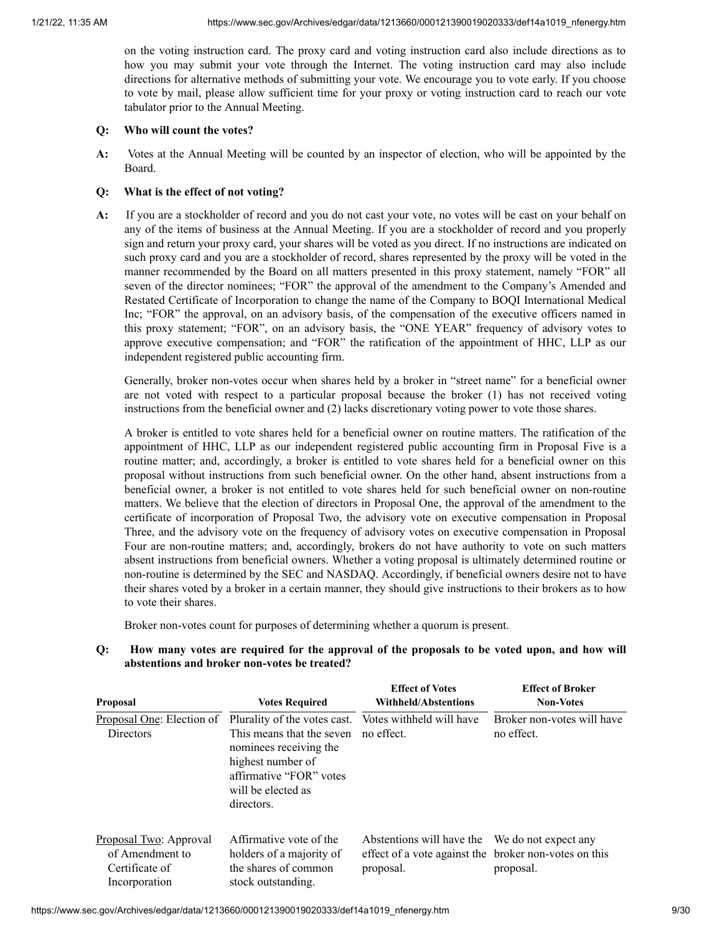on the voting instruction card. The proxy card and voting instruction card also include directions as to how you may submit your vote through the Internet. The voting instruction card may also include directions for alternative methods of submitting your vote. We encourage you to vote early. If you choose to vote by mail, please allow sufficient time for your proxy or voting instruction card to reach our vote tabulator prior to the Annual Meeting.

#### **Q: Who will count the votes?**

**A:** Votes at the Annual Meeting will be counted by an inspector of election, who will be appointed by the Board.

#### **Q: What is the effect of not voting?**

**A:** If you are a stockholder of record and you do not cast your vote, no votes will be cast on your behalf on any of the items of business at the Annual Meeting. If you are a stockholder of record and you properly sign and return your proxy card, your shares will be voted as you direct. If no instructions are indicated on such proxy card and you are a stockholder of record, shares represented by the proxy will be voted in the manner recommended by the Board on all matters presented in this proxy statement, namely "FOR" all seven of the director nominees; "FOR" the approval of the amendment to the Company's Amended and Restated Certificate of Incorporation to change the name of the Company to BOQI International Medical Inc; "FOR" the approval, on an advisory basis, of the compensation of the executive officers named in this proxy statement; "FOR", on an advisory basis, the "ONE YEAR" frequency of advisory votes to approve executive compensation; and "FOR" the ratification of the appointment of HHC, LLP as our independent registered public accounting firm.

Generally, broker non-votes occur when shares held by a broker in "street name" for a beneficial owner are not voted with respect to a particular proposal because the broker (1) has not received voting instructions from the beneficial owner and (2) lacks discretionary voting power to vote those shares.

A broker is entitled to vote shares held for a beneficial owner on routine matters. The ratification of the appointment of HHC, LLP as our independent registered public accounting firm in Proposal Five is a routine matter; and, accordingly, a broker is entitled to vote shares held for a beneficial owner on this proposal without instructions from such beneficial owner. On the other hand, absent instructions from a beneficial owner, a broker is not entitled to vote shares held for such beneficial owner on non-routine matters. We believe that the election of directors in Proposal One, the approval of the amendment to the certificate of incorporation of Proposal Two, the advisory vote on executive compensation in Proposal Three, and the advisory vote on the frequency of advisory votes on executive compensation in Proposal Four are non-routine matters; and, accordingly, brokers do not have authority to vote on such matters absent instructions from beneficial owners. Whether a voting proposal is ultimately determined routine or non-routine is determined by the SEC and NASDAQ. Accordingly, if beneficial owners desire not to have their shares voted by a broker in a certain manner, they should give instructions to their brokers as to how to vote their shares.

Broker non-votes count for purposes of determining whether a quorum is present.

#### **Proposal Votes Required Effect of Votes Withheld/Abstentions Effect of Broker Non-Votes** Proposal One: Election of **Directors** Plurality of the votes cast. Votes withheld will have This means that the seven no effect. nominees receiving the highest number of affirmative "FOR" votes will be elected as directors. Broker non-votes will have no effect. Proposal Two: Approval of Amendment to Certificate of Incorporation Affirmative vote of the holders of a majority of the shares of common stock outstanding. Abstentions will have the We do not expect any effect of a vote against the broker non-votes on this proposal. proposal.

#### Q: How many votes are required for the approval of the proposals to be voted upon, and how will **abstentions and broker non-votes be treated?**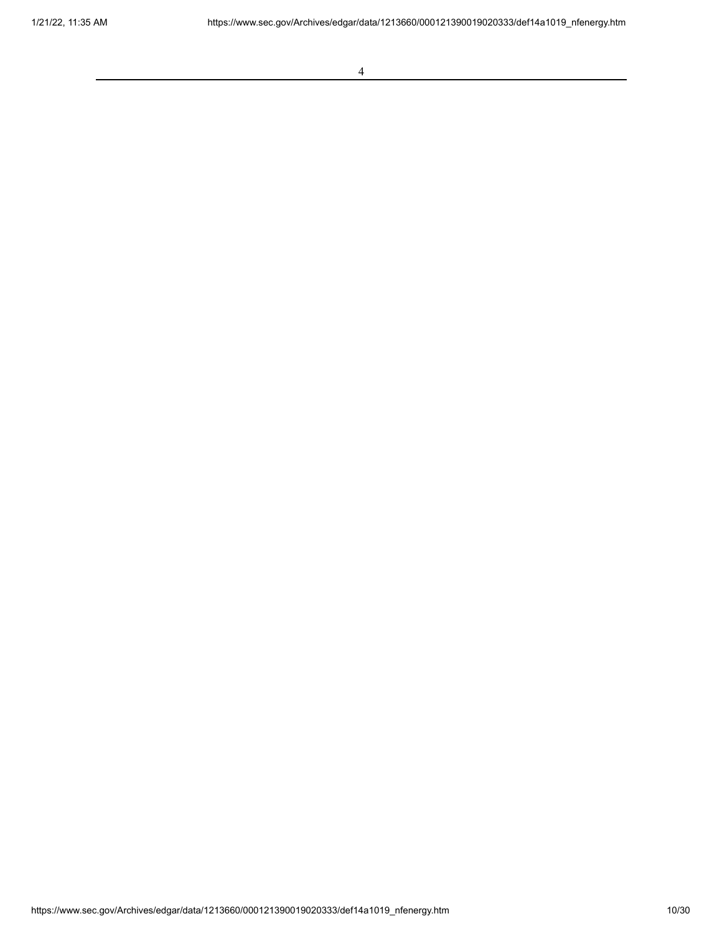<u> 1980 - Johann Barn, mars an t-Amerikaansk kommunister (</u>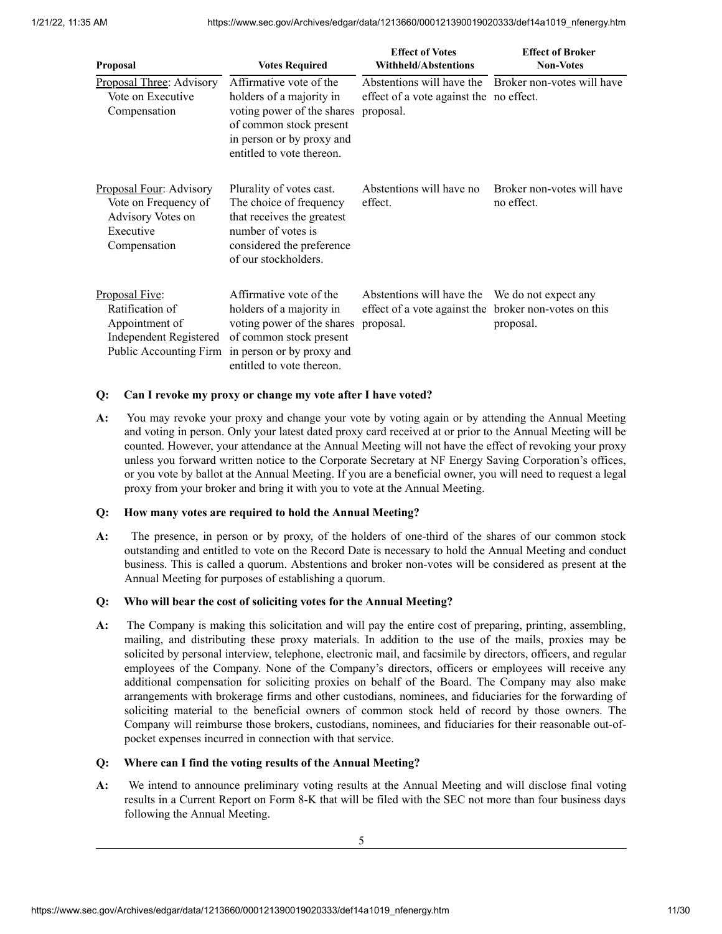1/21/22, 11:35 AM https://www.sec.gov/Archives/edgar/data/1213660/000121390019020333/def14a1019\_nfenergy.htm

| Proposal                                                                                                 | <b>Votes Required</b>                                                                                                                                                                         | <b>Effect of Votes</b><br><b>Withheld/Abstentions</b>                                           | <b>Effect of Broker</b><br><b>Non-Votes</b>          |
|----------------------------------------------------------------------------------------------------------|-----------------------------------------------------------------------------------------------------------------------------------------------------------------------------------------------|-------------------------------------------------------------------------------------------------|------------------------------------------------------|
| Proposal Three: Advisory<br>Vote on Executive<br>Compensation                                            | Affirmative vote of the<br>holders of a majority in<br>voting power of the shares<br>of common stock present<br>in person or by proxy and<br>entitled to vote thereon.                        | effect of a vote against the no effect.<br>proposal.                                            | Abstentions will have the Broker non-votes will have |
| <b>Proposal Four: Advisory</b><br>Vote on Frequency of<br>Advisory Votes on<br>Executive<br>Compensation | Plurality of votes cast.<br>The choice of frequency<br>that receives the greatest<br>number of votes is<br>considered the preference<br>of our stockholders.                                  | Abstentions will have no<br>effect.                                                             | Broker non-votes will have<br>no effect.             |
| Proposal Five:<br>Ratification of<br>Appointment of<br><b>Independent Registered</b>                     | Affirmative vote of the<br>holders of a majority in<br>voting power of the shares<br>of common stock present<br>Public Accounting Firm in person or by proxy and<br>entitled to vote thereon. | Abstentions will have the<br>effect of a vote against the broker non-votes on this<br>proposal. | We do not expect any<br>proposal.                    |

#### **Q: Can I revoke my proxy or change my vote after I have voted?**

**A:** You may revoke your proxy and change your vote by voting again or by attending the Annual Meeting and voting in person. Only your latest dated proxy card received at or prior to the Annual Meeting will be counted. However, your attendance at the Annual Meeting will not have the effect of revoking your proxy unless you forward written notice to the Corporate Secretary at NF Energy Saving Corporation's offices, or you vote by ballot at the Annual Meeting. If you are a beneficial owner, you will need to request a legal proxy from your broker and bring it with you to vote at the Annual Meeting.

#### **Q: How many votes are required to hold the Annual Meeting?**

**A:** The presence, in person or by proxy, of the holders of one-third of the shares of our common stock outstanding and entitled to vote on the Record Date is necessary to hold the Annual Meeting and conduct business. This is called a quorum. Abstentions and broker non-votes will be considered as present at the Annual Meeting for purposes of establishing a quorum.

#### **Q: Who will bear the cost of soliciting votes for the Annual Meeting?**

**A:** The Company is making this solicitation and will pay the entire cost of preparing, printing, assembling, mailing, and distributing these proxy materials. In addition to the use of the mails, proxies may be solicited by personal interview, telephone, electronic mail, and facsimile by directors, officers, and regular employees of the Company. None of the Company's directors, officers or employees will receive any additional compensation for soliciting proxies on behalf of the Board. The Company may also make arrangements with brokerage firms and other custodians, nominees, and fiduciaries for the forwarding of soliciting material to the beneficial owners of common stock held of record by those owners. The Company will reimburse those brokers, custodians, nominees, and fiduciaries for their reasonable out-ofpocket expenses incurred in connection with that service.

#### **Q: Where can I find the voting results of the Annual Meeting?**

**A:** We intend to announce preliminary voting results at the Annual Meeting and will disclose final voting results in a Current Report on Form 8-K that will be filed with the SEC not more than four business days following the Annual Meeting.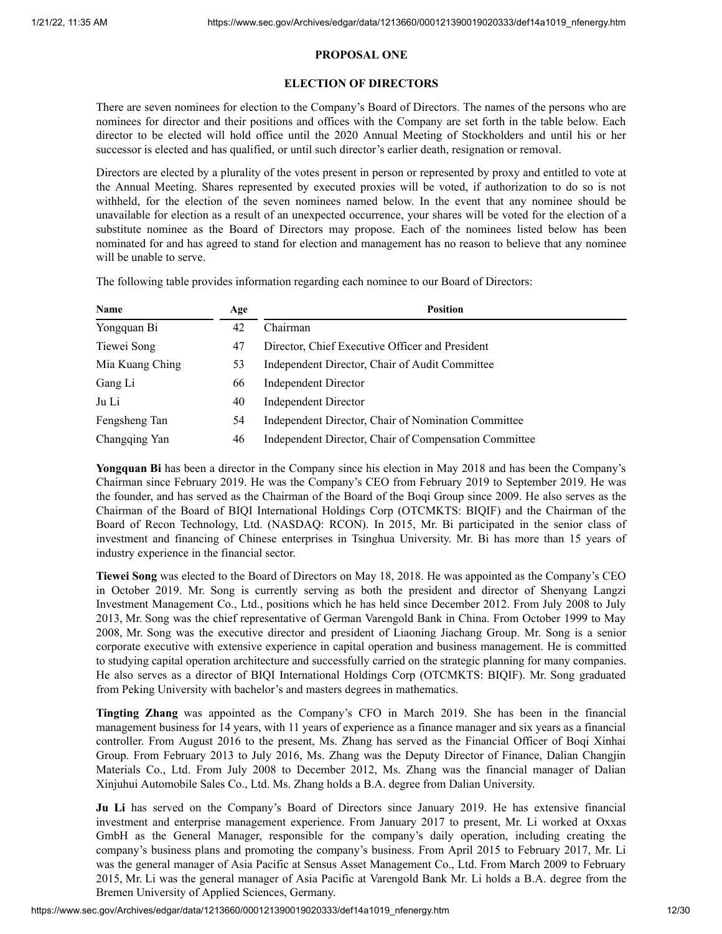#### **PROPOSAL ONE**

#### **ELECTION OF DIRECTORS**

<span id="page-11-0"></span>There are seven nominees for election to the Company's Board of Directors. The names of the persons who are nominees for director and their positions and offices with the Company are set forth in the table below. Each director to be elected will hold office until the 2020 Annual Meeting of Stockholders and until his or her successor is elected and has qualified, or until such director's earlier death, resignation or removal.

Directors are elected by a plurality of the votes present in person or represented by proxy and entitled to vote at the Annual Meeting. Shares represented by executed proxies will be voted, if authorization to do so is not withheld, for the election of the seven nominees named below. In the event that any nominee should be unavailable for election as a result of an unexpected occurrence, your shares will be voted for the election of a substitute nominee as the Board of Directors may propose. Each of the nominees listed below has been nominated for and has agreed to stand for election and management has no reason to believe that any nominee will be unable to serve.

The following table provides information regarding each nominee to our Board of Directors:

| Name            | Age | <b>Position</b>                                       |
|-----------------|-----|-------------------------------------------------------|
| Yongquan Bi     | 42  | Chairman                                              |
| Tiewei Song     | 47  | Director, Chief Executive Officer and President       |
| Mia Kuang Ching | 53  | Independent Director, Chair of Audit Committee        |
| Gang Li         | 66  | Independent Director                                  |
| Ju Li           | 40  | Independent Director                                  |
| Fengsheng Tan   | 54  | Independent Director, Chair of Nomination Committee   |
| Changqing Yan   | 46  | Independent Director, Chair of Compensation Committee |

**Yongquan Bi** has been a director in the Company since his election in May 2018 and has been the Company's Chairman since February 2019. He was the Company's CEO from February 2019 to September 2019. He was the founder, and has served as the Chairman of the Board of the Boqi Group since 2009. He also serves as the Chairman of the Board of BIQI International Holdings Corp (OTCMKTS: BIQIF) and the Chairman of the Board of Recon Technology, Ltd. (NASDAQ: RCON). In 2015, Mr. Bi participated in the senior class of investment and financing of Chinese enterprises in Tsinghua University. Mr. Bi has more than 15 years of industry experience in the financial sector.

**Tiewei Song** was elected to the Board of Directors on May 18, 2018. He was appointed as the Company's CEO in October 2019. Mr. Song is currently serving as both the president and director of Shenyang Langzi Investment Management Co., Ltd., positions which he has held since December 2012. From July 2008 to July 2013, Mr. Song was the chief representative of German Varengold Bank in China. From October 1999 to May 2008, Mr. Song was the executive director and president of Liaoning Jiachang Group. Mr. Song is a senior corporate executive with extensive experience in capital operation and business management. He is committed to studying capital operation architecture and successfully carried on the strategic planning for many companies. He also serves as a director of BIQI International Holdings Corp (OTCMKTS: BIQIF). Mr. Song graduated from Peking University with bachelor's and masters degrees in mathematics.

**Tingting Zhang** was appointed as the Company's CFO in March 2019. She has been in the financial management business for 14 years, with 11 years of experience as a finance manager and six years as a financial controller. From August 2016 to the present, Ms. Zhang has served as the Financial Officer of Boqi Xinhai Group. From February 2013 to July 2016, Ms. Zhang was the Deputy Director of Finance, Dalian Changjin Materials Co., Ltd. From July 2008 to December 2012, Ms. Zhang was the financial manager of Dalian Xinjuhui Automobile Sales Co., Ltd. Ms. Zhang holds a B.A. degree from Dalian University.

**Ju Li** has served on the Company's Board of Directors since January 2019. He has extensive financial investment and enterprise management experience. From January 2017 to present, Mr. Li worked at Oxxas GmbH as the General Manager, responsible for the company's daily operation, including creating the company's business plans and promoting the company's business. From April 2015 to February 2017, Mr. Li was the general manager of Asia Pacific at Sensus Asset Management Co., Ltd. From March 2009 to February 2015, Mr. Li was the general manager of Asia Pacific at Varengold Bank Mr. Li holds a B.A. degree from the Bremen University of Applied Sciences, Germany.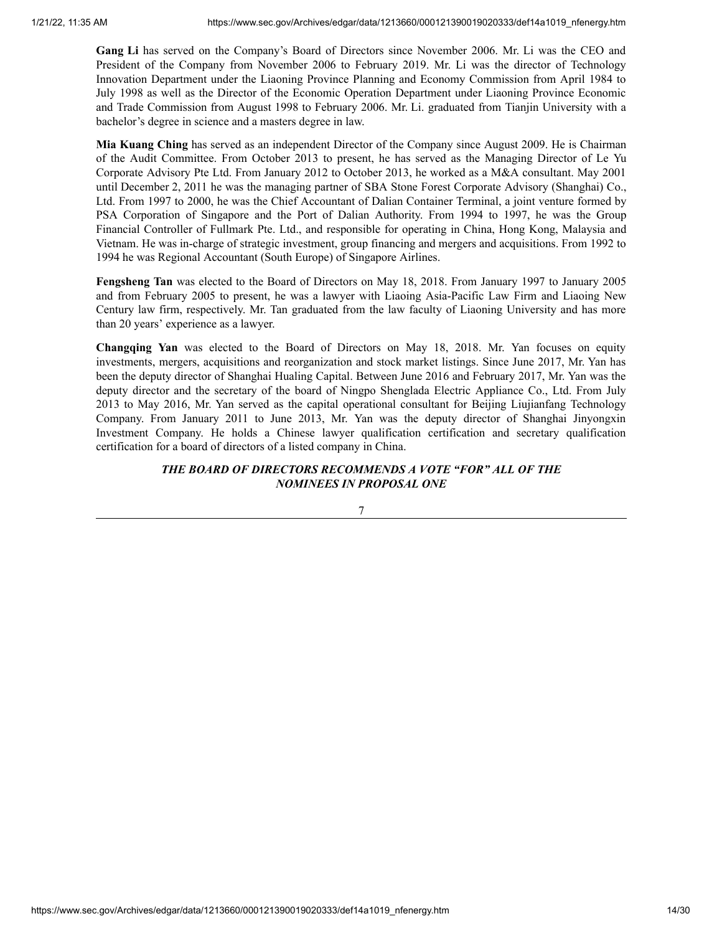**Gang Li** has served on the Company's Board of Directors since November 2006. Mr. Li was the CEO and President of the Company from November 2006 to February 2019. Mr. Li was the director of Technology Innovation Department under the Liaoning Province Planning and Economy Commission from April 1984 to July 1998 as well as the Director of the Economic Operation Department under Liaoning Province Economic and Trade Commission from August 1998 to February 2006. Mr. Li. graduated from Tianjin University with a bachelor's degree in science and a masters degree in law.

**Mia Kuang Ching** has served as an independent Director of the Company since August 2009. He is Chairman of the Audit Committee. From October 2013 to present, he has served as the Managing Director of Le Yu Corporate Advisory Pte Ltd. From January 2012 to October 2013, he worked as a M&A consultant. May 2001 until December 2, 2011 he was the managing partner of SBA Stone Forest Corporate Advisory (Shanghai) Co., Ltd. From 1997 to 2000, he was the Chief Accountant of Dalian Container Terminal, a joint venture formed by PSA Corporation of Singapore and the Port of Dalian Authority. From 1994 to 1997, he was the Group Financial Controller of Fullmark Pte. Ltd., and responsible for operating in China, Hong Kong, Malaysia and Vietnam. He was in-charge of strategic investment, group financing and mergers and acquisitions. From 1992 to 1994 he was Regional Accountant (South Europe) of Singapore Airlines.

**Fengsheng Tan** was elected to the Board of Directors on May 18, 2018. From January 1997 to January 2005 and from February 2005 to present, he was a lawyer with Liaoing Asia-Pacific Law Firm and Liaoing New Century law firm, respectively. Mr. Tan graduated from the law faculty of Liaoning University and has more than 20 years' experience as a lawyer.

**Changqing Yan** was elected to the Board of Directors on May 18, 2018. Mr. Yan focuses on equity investments, mergers, acquisitions and reorganization and stock market listings. Since June 2017, Mr. Yan has been the deputy director of Shanghai Hualing Capital. Between June 2016 and February 2017, Mr. Yan was the deputy director and the secretary of the board of Ningpo Shenglada Electric Appliance Co., Ltd. From July 2013 to May 2016, Mr. Yan served as the capital operational consultant for Beijing Liujianfang Technology Company. From January 2011 to June 2013, Mr. Yan was the deputy director of Shanghai Jinyongxin Investment Company. He holds a Chinese lawyer qualification certification and secretary qualification certification for a board of directors of a listed company in China.

### *THE BOARD OF DIRECTORS RECOMMENDS A VOTE "FOR" ALL OF THE NOMINEES IN PROPOSAL ONE*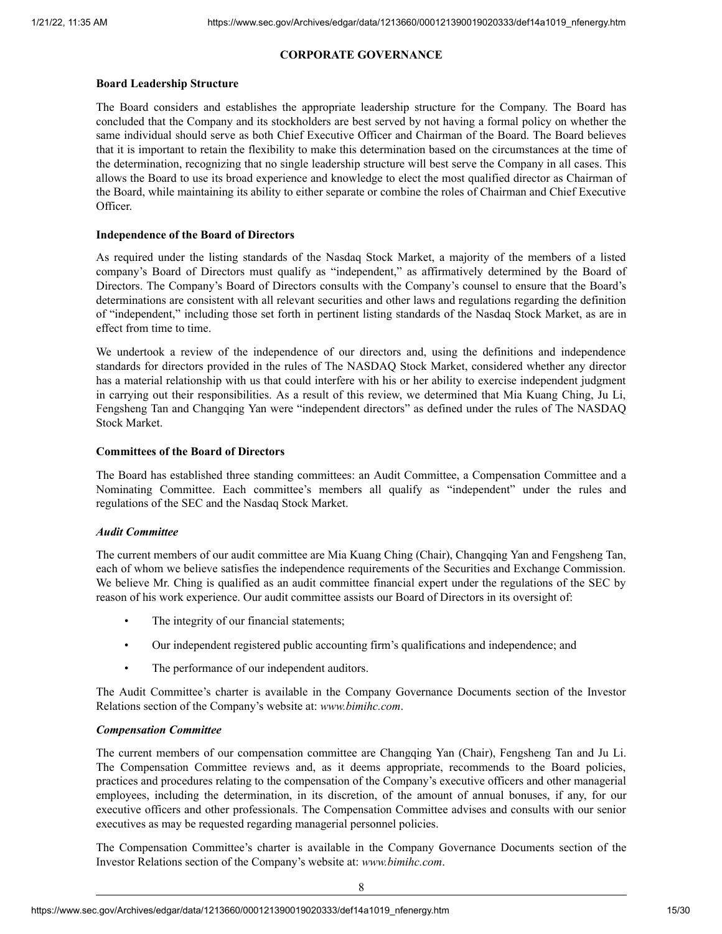#### **CORPORATE GOVERNANCE**

#### <span id="page-14-0"></span>**Board Leadership Structure**

The Board considers and establishes the appropriate leadership structure for the Company. The Board has concluded that the Company and its stockholders are best served by not having a formal policy on whether the same individual should serve as both Chief Executive Officer and Chairman of the Board. The Board believes that it is important to retain the flexibility to make this determination based on the circumstances at the time of the determination, recognizing that no single leadership structure will best serve the Company in all cases. This allows the Board to use its broad experience and knowledge to elect the most qualified director as Chairman of the Board, while maintaining its ability to either separate or combine the roles of Chairman and Chief Executive Officer.

#### **Independence of the Board of Directors**

As required under the listing standards of the Nasdaq Stock Market, a majority of the members of a listed company's Board of Directors must qualify as "independent," as affirmatively determined by the Board of Directors. The Company's Board of Directors consults with the Company's counsel to ensure that the Board's determinations are consistent with all relevant securities and other laws and regulations regarding the definition of "independent," including those set forth in pertinent listing standards of the Nasdaq Stock Market, as are in effect from time to time.

We undertook a review of the independence of our directors and, using the definitions and independence standards for directors provided in the rules of The NASDAQ Stock Market, considered whether any director has a material relationship with us that could interfere with his or her ability to exercise independent judgment in carrying out their responsibilities. As a result of this review, we determined that Mia Kuang Ching, Ju Li, Fengsheng Tan and Changqing Yan were "independent directors" as defined under the rules of The NASDAQ Stock Market.

#### **Committees of the Board of Directors**

The Board has established three standing committees: an Audit Committee, a Compensation Committee and a Nominating Committee. Each committee's members all qualify as "independent" under the rules and regulations of the SEC and the Nasdaq Stock Market.

#### *Audit Committee*

The current members of our audit committee are Mia Kuang Ching (Chair), Changqing Yan and Fengsheng Tan, each of whom we believe satisfies the independence requirements of the Securities and Exchange Commission. We believe Mr. Ching is qualified as an audit committee financial expert under the regulations of the SEC by reason of his work experience. Our audit committee assists our Board of Directors in its oversight of:

- The integrity of our financial statements;
- Our independent registered public accounting firm's qualifications and independence; and
- The performance of our independent auditors.

The Audit Committee's charter is available in the Company Governance Documents section of the Investor Relations section of the Company's website at: *www.bimihc.com*.

#### *Compensation Committee*

The current members of our compensation committee are Changqing Yan (Chair), Fengsheng Tan and Ju Li. The Compensation Committee reviews and, as it deems appropriate, recommends to the Board policies, practices and procedures relating to the compensation of the Company's executive officers and other managerial employees, including the determination, in its discretion, of the amount of annual bonuses, if any, for our executive officers and other professionals. The Compensation Committee advises and consults with our senior executives as may be requested regarding managerial personnel policies.

The Compensation Committee's charter is available in the Company Governance Documents section of the Investor Relations section of the Company's website at: *www.bimihc.com*.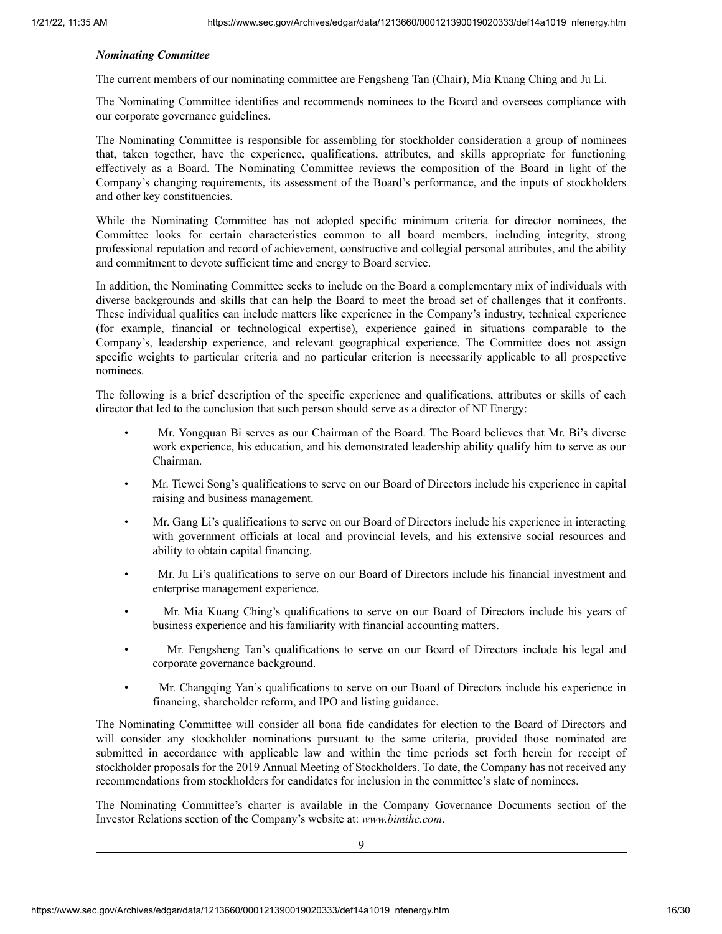#### *Nominating Committee*

The current members of our nominating committee are Fengsheng Tan (Chair), Mia Kuang Ching and Ju Li.

The Nominating Committee identifies and recommends nominees to the Board and oversees compliance with our corporate governance guidelines.

The Nominating Committee is responsible for assembling for stockholder consideration a group of nominees that, taken together, have the experience, qualifications, attributes, and skills appropriate for functioning effectively as a Board. The Nominating Committee reviews the composition of the Board in light of the Company's changing requirements, its assessment of the Board's performance, and the inputs of stockholders and other key constituencies.

While the Nominating Committee has not adopted specific minimum criteria for director nominees, the Committee looks for certain characteristics common to all board members, including integrity, strong professional reputation and record of achievement, constructive and collegial personal attributes, and the ability and commitment to devote sufficient time and energy to Board service.

In addition, the Nominating Committee seeks to include on the Board a complementary mix of individuals with diverse backgrounds and skills that can help the Board to meet the broad set of challenges that it confronts. These individual qualities can include matters like experience in the Company's industry, technical experience (for example, financial or technological expertise), experience gained in situations comparable to the Company's, leadership experience, and relevant geographical experience. The Committee does not assign specific weights to particular criteria and no particular criterion is necessarily applicable to all prospective nominees.

The following is a brief description of the specific experience and qualifications, attributes or skills of each director that led to the conclusion that such person should serve as a director of NF Energy:

- Mr. Yongquan Bi serves as our Chairman of the Board. The Board believes that Mr. Bi's diverse work experience, his education, and his demonstrated leadership ability qualify him to serve as our Chairman.
- Mr. Tiewei Song's qualifications to serve on our Board of Directors include his experience in capital raising and business management.
- Mr. Gang Li's qualifications to serve on our Board of Directors include his experience in interacting with government officials at local and provincial levels, and his extensive social resources and ability to obtain capital financing.
- Mr. Ju Li's qualifications to serve on our Board of Directors include his financial investment and enterprise management experience.
- Mr. Mia Kuang Ching's qualifications to serve on our Board of Directors include his years of business experience and his familiarity with financial accounting matters.
- Mr. Fengsheng Tan's qualifications to serve on our Board of Directors include his legal and corporate governance background.
- Mr. Changqing Yan's qualifications to serve on our Board of Directors include his experience in financing, shareholder reform, and IPO and listing guidance.

The Nominating Committee will consider all bona fide candidates for election to the Board of Directors and will consider any stockholder nominations pursuant to the same criteria, provided those nominated are submitted in accordance with applicable law and within the time periods set forth herein for receipt of stockholder proposals for the 2019 Annual Meeting of Stockholders. To date, the Company has not received any recommendations from stockholders for candidates for inclusion in the committee's slate of nominees.

The Nominating Committee's charter is available in the Company Governance Documents section of the Investor Relations section of the Company's website at: *www.bimihc.com*.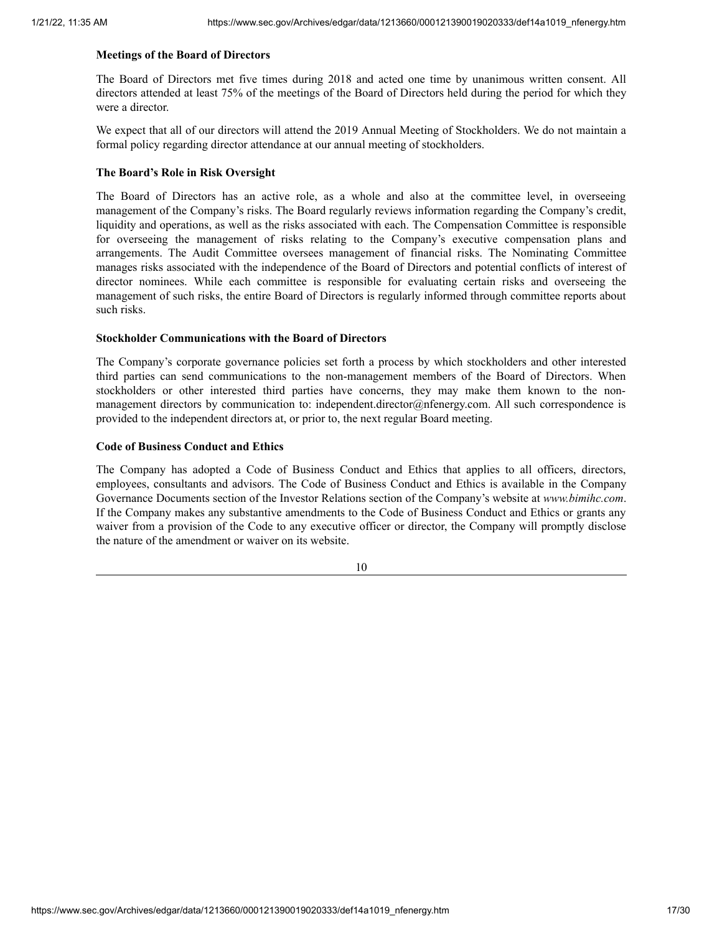#### **Meetings of the Board of Directors**

The Board of Directors met five times during 2018 and acted one time by unanimous written consent. All directors attended at least 75% of the meetings of the Board of Directors held during the period for which they were a director.

We expect that all of our directors will attend the 2019 Annual Meeting of Stockholders. We do not maintain a formal policy regarding director attendance at our annual meeting of stockholders.

#### **The Board's Role in Risk Oversight**

The Board of Directors has an active role, as a whole and also at the committee level, in overseeing management of the Company's risks. The Board regularly reviews information regarding the Company's credit, liquidity and operations, as well as the risks associated with each. The Compensation Committee is responsible for overseeing the management of risks relating to the Company's executive compensation plans and arrangements. The Audit Committee oversees management of financial risks. The Nominating Committee manages risks associated with the independence of the Board of Directors and potential conflicts of interest of director nominees. While each committee is responsible for evaluating certain risks and overseeing the management of such risks, the entire Board of Directors is regularly informed through committee reports about such risks.

#### **Stockholder Communications with the Board of Directors**

The Company's corporate governance policies set forth a process by which stockholders and other interested third parties can send communications to the non-management members of the Board of Directors. When stockholders or other interested third parties have concerns, they may make them known to the nonmanagement directors by communication to: independent.director@nfenergy.com. All such correspondence is provided to the independent directors at, or prior to, the next regular Board meeting.

#### **Code of Business Conduct and Ethics**

The Company has adopted a Code of Business Conduct and Ethics that applies to all officers, directors, employees, consultants and advisors. The Code of Business Conduct and Ethics is available in the Company Governance Documents section of the Investor Relations section of the Company's website at *www.bimihc.com*. If the Company makes any substantive amendments to the Code of Business Conduct and Ethics or grants any waiver from a provision of the Code to any executive officer or director, the Company will promptly disclose the nature of the amendment or waiver on its website.

10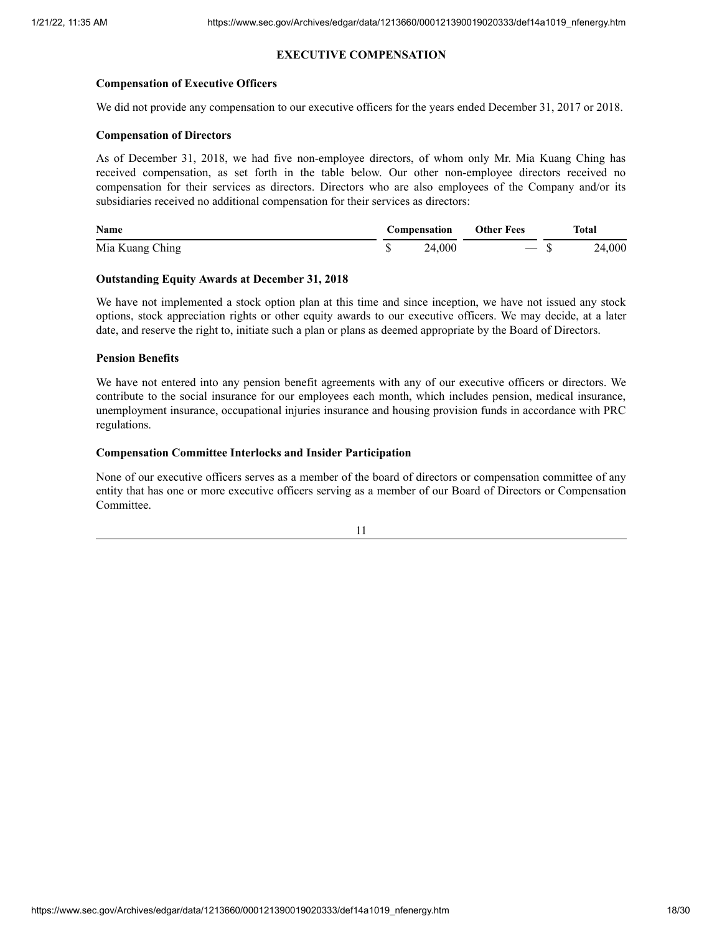#### **EXECUTIVE COMPENSATION**

#### <span id="page-17-0"></span>**Compensation of Executive Officers**

We did not provide any compensation to our executive officers for the years ended December 31, 2017 or 2018.

#### **Compensation of Directors**

As of December 31, 2018, we had five non-employee directors, of whom only Mr. Mia Kuang Ching has received compensation, as set forth in the table below. Our other non-employee directors received no compensation for their services as directors. Directors who are also employees of the Company and/or its subsidiaries received no additional compensation for their services as directors:

| <b>Name</b>     | Compensation | Other Fees | Total  |
|-----------------|--------------|------------|--------|
| Mia Kuang Ching | 24,000       | $-$ \$     | 24,000 |

#### **Outstanding Equity Awards at December 31, 2018**

We have not implemented a stock option plan at this time and since inception, we have not issued any stock options, stock appreciation rights or other equity awards to our executive officers. We may decide, at a later date, and reserve the right to, initiate such a plan or plans as deemed appropriate by the Board of Directors.

#### **Pension Benefits**

We have not entered into any pension benefit agreements with any of our executive officers or directors. We contribute to the social insurance for our employees each month, which includes pension, medical insurance, unemployment insurance, occupational injuries insurance and housing provision funds in accordance with PRC regulations.

#### **Compensation Committee Interlocks and Insider Participation**

None of our executive officers serves as a member of the board of directors or compensation committee of any entity that has one or more executive officers serving as a member of our Board of Directors or Compensation Committee.

$$
1\\1
$$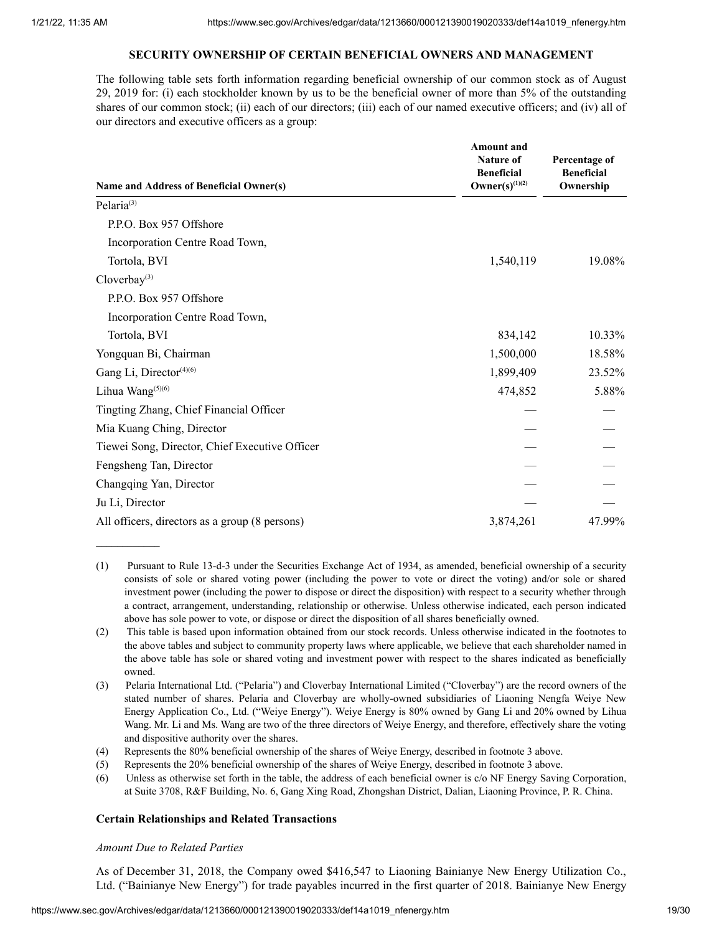#### **SECURITY OWNERSHIP OF CERTAIN BENEFICIAL OWNERS AND MANAGEMENT**

<span id="page-18-0"></span>The following table sets forth information regarding beneficial ownership of our common stock as of August 29, 2019 for: (i) each stockholder known by us to be the beneficial owner of more than 5% of the outstanding shares of our common stock; (ii) each of our directors; (iii) each of our named executive officers; and (iv) all of our directors and executive officers as a group:

|                                                | <b>Amount</b> and<br><b>Nature of</b><br><b>Beneficial</b> | Percentage of<br><b>Beneficial</b> |
|------------------------------------------------|------------------------------------------------------------|------------------------------------|
| Name and Address of Beneficial Owner(s)        | Owner(s) $^{(1)(2)}$                                       | Ownership                          |
| Pelaria <sup>(3)</sup>                         |                                                            |                                    |
| P.P.O. Box 957 Offshore                        |                                                            |                                    |
| Incorporation Centre Road Town,                |                                                            |                                    |
| Tortola, BVI                                   | 1,540,119                                                  | 19.08%                             |
| Cloverbay <sup>(3)</sup>                       |                                                            |                                    |
| P.P.O. Box 957 Offshore                        |                                                            |                                    |
| Incorporation Centre Road Town,                |                                                            |                                    |
| Tortola, BVI                                   | 834,142                                                    | 10.33%                             |
| Yongquan Bi, Chairman                          | 1,500,000                                                  | 18.58%                             |
| Gang Li, Director <sup>(4)(6)</sup>            | 1,899,409                                                  | 23.52%                             |
| Lihua Wang <sup>(5)(6)</sup>                   | 474,852                                                    | 5.88%                              |
| Tingting Zhang, Chief Financial Officer        |                                                            |                                    |
| Mia Kuang Ching, Director                      |                                                            |                                    |
| Tiewei Song, Director, Chief Executive Officer |                                                            |                                    |
| Fengsheng Tan, Director                        |                                                            |                                    |
| Changqing Yan, Director                        |                                                            |                                    |
| Ju Li, Director                                |                                                            |                                    |
| All officers, directors as a group (8 persons) | 3,874,261                                                  | 47.99%                             |

<sup>(1)</sup> Pursuant to Rule 13-d-3 under the Securities Exchange Act of 1934, as amended, beneficial ownership of a security consists of sole or shared voting power (including the power to vote or direct the voting) and/or sole or shared investment power (including the power to dispose or direct the disposition) with respect to a security whether through a contract, arrangement, understanding, relationship or otherwise. Unless otherwise indicated, each person indicated above has sole power to vote, or dispose or direct the disposition of all shares beneficially owned.

- (4) Represents the 80% beneficial ownership of the shares of Weiye Energy, described in footnote 3 above.
- (5) Represents the 20% beneficial ownership of the shares of Weiye Energy, described in footnote 3 above.
- (6) Unless as otherwise set forth in the table, the address of each beneficial owner is c/o NF Energy Saving Corporation, at Suite 3708, R&F Building, No. 6, Gang Xing Road, Zhongshan District, Dalian, Liaoning Province, P. R. China.

#### **Certain Relationships and Related Transactions**

#### *Amount Due to Related Parties*

As of December 31, 2018, the Company owed \$416,547 to Liaoning Bainianye New Energy Utilization Co., Ltd. ("Bainianye New Energy") for trade payables incurred in the first quarter of 2018. Bainianye New Energy

<sup>(2)</sup> This table is based upon information obtained from our stock records. Unless otherwise indicated in the footnotes to the above tables and subject to community property laws where applicable, we believe that each shareholder named in the above table has sole or shared voting and investment power with respect to the shares indicated as beneficially owned.

<sup>(3)</sup> Pelaria International Ltd. ("Pelaria") and Cloverbay International Limited ("Cloverbay") are the record owners of the stated number of shares. Pelaria and Cloverbay are wholly-owned subsidiaries of Liaoning Nengfa Weiye New Energy Application Co., Ltd. ("Weiye Energy"). Weiye Energy is 80% owned by Gang Li and 20% owned by Lihua Wang. Mr. Li and Ms. Wang are two of the three directors of Weiye Energy, and therefore, effectively share the voting and dispositive authority over the shares.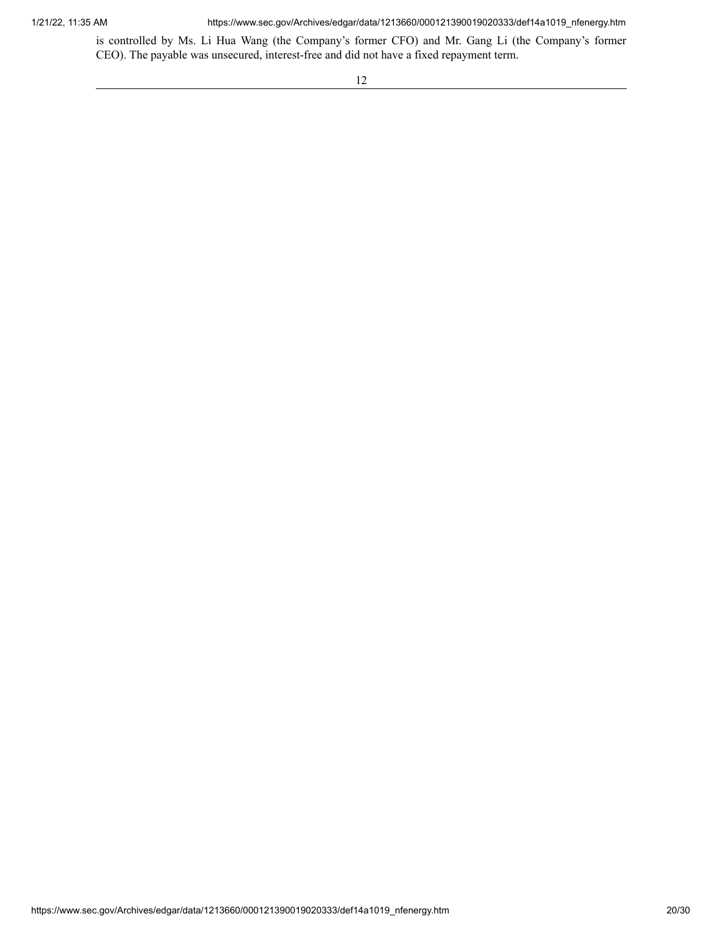1/21/22, 11:35 AM https://www.sec.gov/Archives/edgar/data/1213660/000121390019020333/def14a1019\_nfenergy.htm

is controlled by Ms. Li Hua Wang (the Company's former CFO) and Mr. Gang Li (the Company's former CEO). The payable was unsecured, interest-free and did not have a fixed repayment term.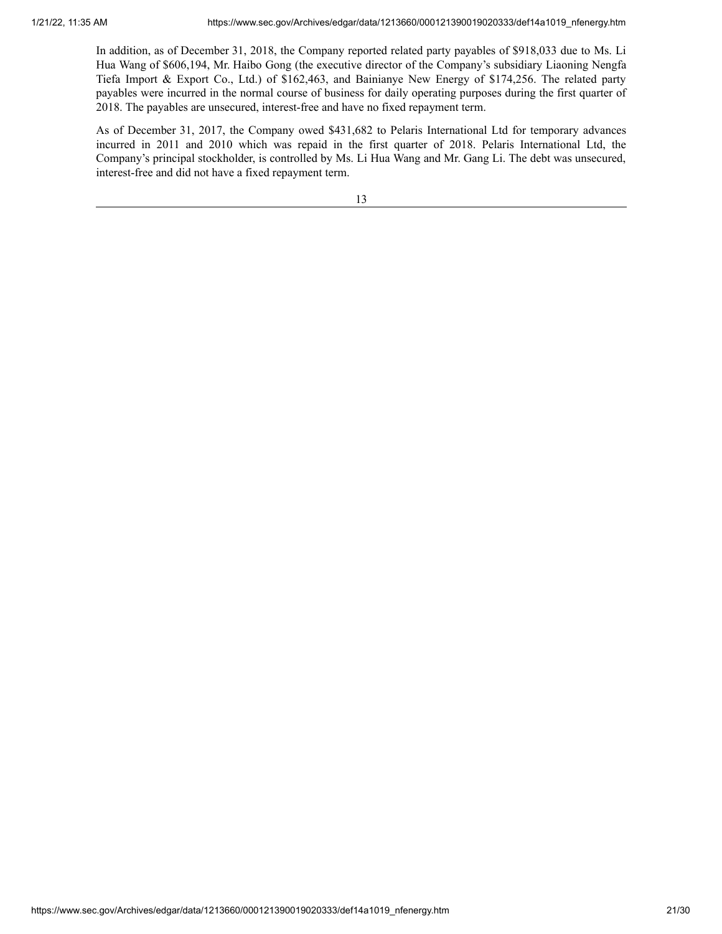In addition, as of December 31, 2018, the Company reported related party payables of \$918,033 due to Ms. Li Hua Wang of \$606,194, Mr. Haibo Gong (the executive director of the Company's subsidiary Liaoning Nengfa Tiefa Import & Export Co., Ltd.) of \$162,463, and Bainianye New Energy of \$174,256. The related party payables were incurred in the normal course of business for daily operating purposes during the first quarter of 2018. The payables are unsecured, interest-free and have no fixed repayment term.

As of December 31, 2017, the Company owed \$431,682 to Pelaris International Ltd for temporary advances incurred in 2011 and 2010 which was repaid in the first quarter of 2018. Pelaris International Ltd, the Company's principal stockholder, is controlled by Ms. Li Hua Wang and Mr. Gang Li. The debt was unsecured, interest-free and did not have a fixed repayment term.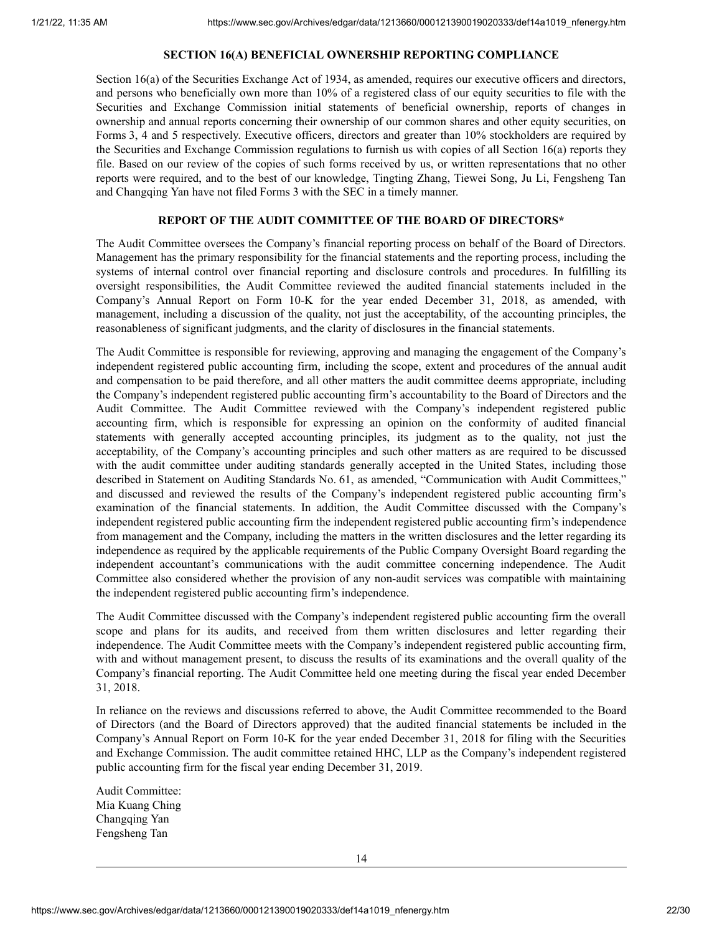#### **SECTION 16(A) BENEFICIAL OWNERSHIP REPORTING COMPLIANCE**

<span id="page-21-0"></span>Section 16(a) of the Securities Exchange Act of 1934, as amended, requires our executive officers and directors, and persons who beneficially own more than 10% of a registered class of our equity securities to file with the Securities and Exchange Commission initial statements of beneficial ownership, reports of changes in ownership and annual reports concerning their ownership of our common shares and other equity securities, on Forms 3, 4 and 5 respectively. Executive officers, directors and greater than 10% stockholders are required by the Securities and Exchange Commission regulations to furnish us with copies of all Section 16(a) reports they file. Based on our review of the copies of such forms received by us, or written representations that no other reports were required, and to the best of our knowledge, Tingting Zhang, Tiewei Song, Ju Li, Fengsheng Tan and Changqing Yan have not filed Forms 3 with the SEC in a timely manner.

#### **REPORT OF THE AUDIT COMMITTEE OF THE BOARD OF DIRECTORS\***

The Audit Committee oversees the Company's financial reporting process on behalf of the Board of Directors. Management has the primary responsibility for the financial statements and the reporting process, including the systems of internal control over financial reporting and disclosure controls and procedures. In fulfilling its oversight responsibilities, the Audit Committee reviewed the audited financial statements included in the Company's Annual Report on Form 10-K for the year ended December 31, 2018, as amended, with management, including a discussion of the quality, not just the acceptability, of the accounting principles, the reasonableness of significant judgments, and the clarity of disclosures in the financial statements.

The Audit Committee is responsible for reviewing, approving and managing the engagement of the Company's independent registered public accounting firm, including the scope, extent and procedures of the annual audit and compensation to be paid therefore, and all other matters the audit committee deems appropriate, including the Company's independent registered public accounting firm's accountability to the Board of Directors and the Audit Committee. The Audit Committee reviewed with the Company's independent registered public accounting firm, which is responsible for expressing an opinion on the conformity of audited financial statements with generally accepted accounting principles, its judgment as to the quality, not just the acceptability, of the Company's accounting principles and such other matters as are required to be discussed with the audit committee under auditing standards generally accepted in the United States, including those described in Statement on Auditing Standards No. 61, as amended, "Communication with Audit Committees," and discussed and reviewed the results of the Company's independent registered public accounting firm's examination of the financial statements. In addition, the Audit Committee discussed with the Company's independent registered public accounting firm the independent registered public accounting firm's independence from management and the Company, including the matters in the written disclosures and the letter regarding its independence as required by the applicable requirements of the Public Company Oversight Board regarding the independent accountant's communications with the audit committee concerning independence. The Audit Committee also considered whether the provision of any non-audit services was compatible with maintaining the independent registered public accounting firm's independence.

The Audit Committee discussed with the Company's independent registered public accounting firm the overall scope and plans for its audits, and received from them written disclosures and letter regarding their independence. The Audit Committee meets with the Company's independent registered public accounting firm, with and without management present, to discuss the results of its examinations and the overall quality of the Company's financial reporting. The Audit Committee held one meeting during the fiscal year ended December 31, 2018.

In reliance on the reviews and discussions referred to above, the Audit Committee recommended to the Board of Directors (and the Board of Directors approved) that the audited financial statements be included in the Company's Annual Report on Form 10-K for the year ended December 31, 2018 for filing with the Securities and Exchange Commission. The audit committee retained HHC, LLP as the Company's independent registered public accounting firm for the fiscal year ending December 31, 2019.

Audit Committee: Mia Kuang Ching Changqing Yan Fengsheng Tan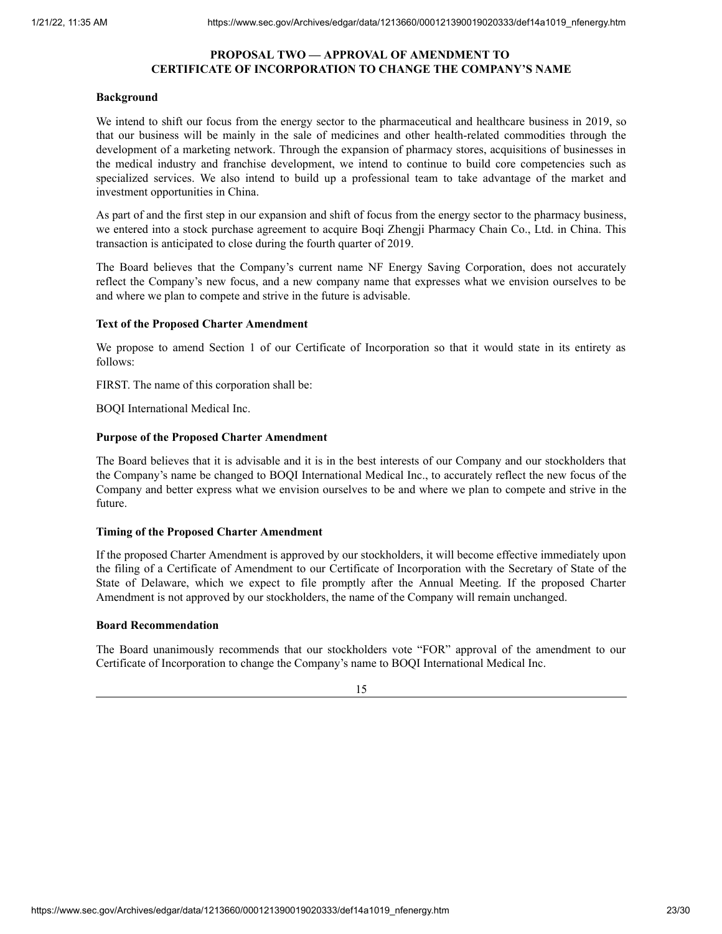#### **PROPOSAL TWO — APPROVAL OF AMENDMENT TO CERTIFICATE OF INCORPORATION TO CHANGE THE COMPANY'S NAME**

#### <span id="page-22-0"></span>**Background**

We intend to shift our focus from the energy sector to the pharmaceutical and healthcare business in 2019, so that our business will be mainly in the sale of medicines and other health-related commodities through the development of a marketing network. Through the expansion of pharmacy stores, acquisitions of businesses in the medical industry and franchise development, we intend to continue to build core competencies such as specialized services. We also intend to build up a professional team to take advantage of the market and investment opportunities in China.

As part of and the first step in our expansion and shift of focus from the energy sector to the pharmacy business, we entered into a stock purchase agreement to acquire Boqi Zhengji Pharmacy Chain Co., Ltd. in China. This transaction is anticipated to close during the fourth quarter of 2019.

The Board believes that the Company's current name NF Energy Saving Corporation, does not accurately reflect the Company's new focus, and a new company name that expresses what we envision ourselves to be and where we plan to compete and strive in the future is advisable.

#### **Text of the Proposed Charter Amendment**

We propose to amend Section 1 of our Certificate of Incorporation so that it would state in its entirety as follows:

FIRST. The name of this corporation shall be:

BOQI International Medical Inc.

#### **Purpose of the Proposed Charter Amendment**

The Board believes that it is advisable and it is in the best interests of our Company and our stockholders that the Company's name be changed to BOQI International Medical Inc., to accurately reflect the new focus of the Company and better express what we envision ourselves to be and where we plan to compete and strive in the future.

#### **Timing of the Proposed Charter Amendment**

If the proposed Charter Amendment is approved by our stockholders, it will become effective immediately upon the filing of a Certificate of Amendment to our Certificate of Incorporation with the Secretary of State of the State of Delaware, which we expect to file promptly after the Annual Meeting. If the proposed Charter Amendment is not approved by our stockholders, the name of the Company will remain unchanged.

#### **Board Recommendation**

The Board unanimously recommends that our stockholders vote "FOR" approval of the amendment to our Certificate of Incorporation to change the Company's name to BOQI International Medical Inc.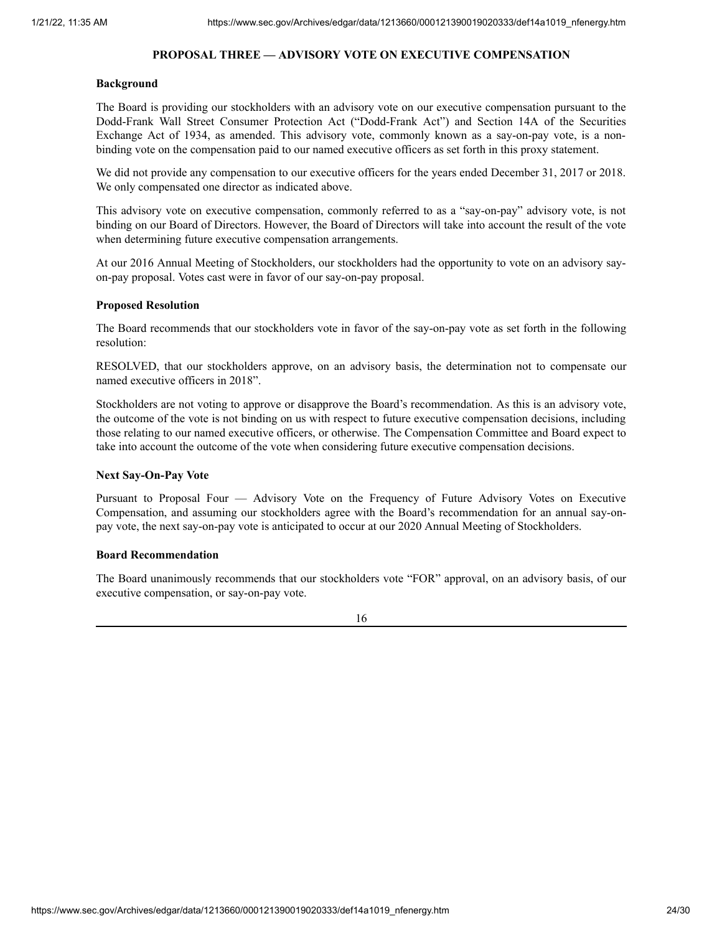#### **PROPOSAL THREE — ADVISORY VOTE ON EXECUTIVE COMPENSATION**

#### <span id="page-23-0"></span>**Background**

The Board is providing our stockholders with an advisory vote on our executive compensation pursuant to the Dodd-Frank Wall Street Consumer Protection Act ("Dodd-Frank Act") and Section 14A of the Securities Exchange Act of 1934, as amended. This advisory vote, commonly known as a say-on-pay vote, is a nonbinding vote on the compensation paid to our named executive officers as set forth in this proxy statement.

We did not provide any compensation to our executive officers for the years ended December 31, 2017 or 2018. We only compensated one director as indicated above.

This advisory vote on executive compensation, commonly referred to as a "say-on-pay" advisory vote, is not binding on our Board of Directors. However, the Board of Directors will take into account the result of the vote when determining future executive compensation arrangements.

At our 2016 Annual Meeting of Stockholders, our stockholders had the opportunity to vote on an advisory sayon-pay proposal. Votes cast were in favor of our say-on-pay proposal.

#### **Proposed Resolution**

The Board recommends that our stockholders vote in favor of the say-on-pay vote as set forth in the following resolution:

RESOLVED, that our stockholders approve, on an advisory basis, the determination not to compensate our named executive officers in 2018".

Stockholders are not voting to approve or disapprove the Board's recommendation. As this is an advisory vote, the outcome of the vote is not binding on us with respect to future executive compensation decisions, including those relating to our named executive officers, or otherwise. The Compensation Committee and Board expect to take into account the outcome of the vote when considering future executive compensation decisions.

#### **Next Say-On-Pay Vote**

Pursuant to Proposal Four — Advisory Vote on the Frequency of Future Advisory Votes on Executive Compensation, and assuming our stockholders agree with the Board's recommendation for an annual say-onpay vote, the next say-on-pay vote is anticipated to occur at our 2020 Annual Meeting of Stockholders.

#### **Board Recommendation**

The Board unanimously recommends that our stockholders vote "FOR" approval, on an advisory basis, of our executive compensation, or say-on-pay vote.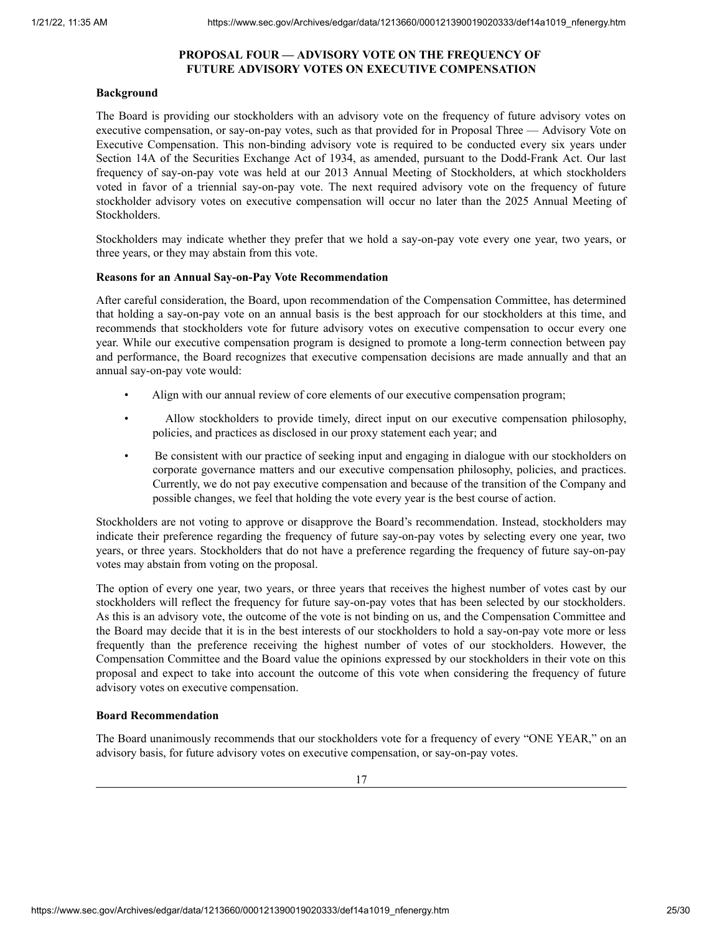#### **PROPOSAL FOUR — ADVISORY VOTE ON THE FREQUENCY OF FUTURE ADVISORY VOTES ON EXECUTIVE COMPENSATION**

#### <span id="page-24-0"></span>**Background**

The Board is providing our stockholders with an advisory vote on the frequency of future advisory votes on executive compensation, or say-on-pay votes, such as that provided for in Proposal Three — Advisory Vote on Executive Compensation. This non-binding advisory vote is required to be conducted every six years under Section 14A of the Securities Exchange Act of 1934, as amended, pursuant to the Dodd-Frank Act. Our last frequency of say-on-pay vote was held at our 2013 Annual Meeting of Stockholders, at which stockholders voted in favor of a triennial say-on-pay vote. The next required advisory vote on the frequency of future stockholder advisory votes on executive compensation will occur no later than the 2025 Annual Meeting of Stockholders.

Stockholders may indicate whether they prefer that we hold a say-on-pay vote every one year, two years, or three years, or they may abstain from this vote.

#### **Reasons for an Annual Say-on-Pay Vote Recommendation**

After careful consideration, the Board, upon recommendation of the Compensation Committee, has determined that holding a say-on-pay vote on an annual basis is the best approach for our stockholders at this time, and recommends that stockholders vote for future advisory votes on executive compensation to occur every one year. While our executive compensation program is designed to promote a long-term connection between pay and performance, the Board recognizes that executive compensation decisions are made annually and that an annual say-on-pay vote would:

- Align with our annual review of core elements of our executive compensation program;
- Allow stockholders to provide timely, direct input on our executive compensation philosophy, policies, and practices as disclosed in our proxy statement each year; and
- Be consistent with our practice of seeking input and engaging in dialogue with our stockholders on corporate governance matters and our executive compensation philosophy, policies, and practices. Currently, we do not pay executive compensation and because of the transition of the Company and possible changes, we feel that holding the vote every year is the best course of action.

Stockholders are not voting to approve or disapprove the Board's recommendation. Instead, stockholders may indicate their preference regarding the frequency of future say-on-pay votes by selecting every one year, two years, or three years. Stockholders that do not have a preference regarding the frequency of future say-on-pay votes may abstain from voting on the proposal.

The option of every one year, two years, or three years that receives the highest number of votes cast by our stockholders will reflect the frequency for future say-on-pay votes that has been selected by our stockholders. As this is an advisory vote, the outcome of the vote is not binding on us, and the Compensation Committee and the Board may decide that it is in the best interests of our stockholders to hold a say-on-pay vote more or less frequently than the preference receiving the highest number of votes of our stockholders. However, the Compensation Committee and the Board value the opinions expressed by our stockholders in their vote on this proposal and expect to take into account the outcome of this vote when considering the frequency of future advisory votes on executive compensation.

#### **Board Recommendation**

The Board unanimously recommends that our stockholders vote for a frequency of every "ONE YEAR," on an advisory basis, for future advisory votes on executive compensation, or say-on-pay votes.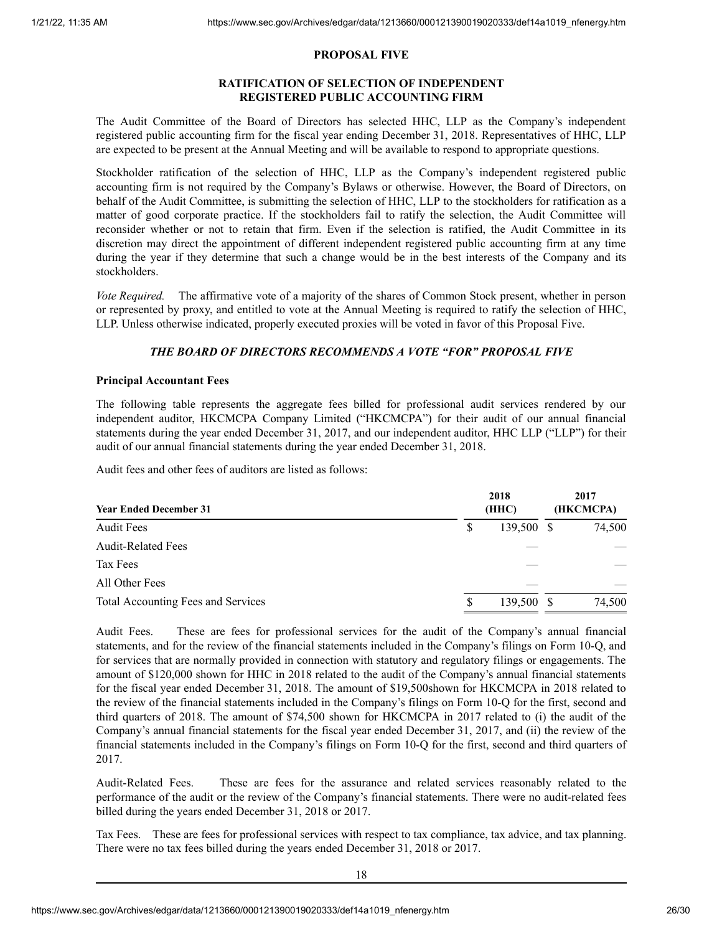#### **PROPOSAL FIVE**

#### **RATIFICATION OF SELECTION OF INDEPENDENT REGISTERED PUBLIC ACCOUNTING FIRM**

<span id="page-25-0"></span>The Audit Committee of the Board of Directors has selected HHC, LLP as the Company's independent registered public accounting firm for the fiscal year ending December 31, 2018. Representatives of HHC, LLP are expected to be present at the Annual Meeting and will be available to respond to appropriate questions.

Stockholder ratification of the selection of HHC, LLP as the Company's independent registered public accounting firm is not required by the Company's Bylaws or otherwise. However, the Board of Directors, on behalf of the Audit Committee, is submitting the selection of HHC, LLP to the stockholders for ratification as a matter of good corporate practice. If the stockholders fail to ratify the selection, the Audit Committee will reconsider whether or not to retain that firm. Even if the selection is ratified, the Audit Committee in its discretion may direct the appointment of different independent registered public accounting firm at any time during the year if they determine that such a change would be in the best interests of the Company and its stockholders.

*Vote Required.* The affirmative vote of a majority of the shares of Common Stock present, whether in person or represented by proxy, and entitled to vote at the Annual Meeting is required to ratify the selection of HHC, LLP. Unless otherwise indicated, properly executed proxies will be voted in favor of this Proposal Five.

#### *THE BOARD OF DIRECTORS RECOMMENDS A VOTE "FOR" PROPOSAL FIVE*

#### **Principal Accountant Fees**

The following table represents the aggregate fees billed for professional audit services rendered by our independent auditor, HKCMCPA Company Limited ("HKCMCPA") for their audit of our annual financial statements during the year ended December 31, 2017, and our independent auditor, HHC LLP ("LLP") for their audit of our annual financial statements during the year ended December 31, 2018.

Audit fees and other fees of auditors are listed as follows:

| <b>Year Ended December 31</b>      |   | 2018<br>(HHC) |  | 2017<br>(HKCMCPA) |  |
|------------------------------------|---|---------------|--|-------------------|--|
| <b>Audit Fees</b>                  | S | 139,500 \$    |  | 74,500            |  |
| <b>Audit-Related Fees</b>          |   |               |  |                   |  |
| Tax Fees                           |   |               |  |                   |  |
| All Other Fees                     |   |               |  |                   |  |
| Total Accounting Fees and Services | S | 139,500 \$    |  | 74,500            |  |

Audit Fees. These are fees for professional services for the audit of the Company's annual financial statements, and for the review of the financial statements included in the Company's filings on Form 10-Q, and for services that are normally provided in connection with statutory and regulatory filings or engagements. The amount of \$120,000 shown for HHC in 2018 related to the audit of the Company's annual financial statements for the fiscal year ended December 31, 2018. The amount of \$19,500shown for HKCMCPA in 2018 related to the review of the financial statements included in the Company's filings on Form 10-Q for the first, second and third quarters of 2018. The amount of \$74,500 shown for HKCMCPA in 2017 related to (i) the audit of the Company's annual financial statements for the fiscal year ended December 31, 2017, and (ii) the review of the financial statements included in the Company's filings on Form 10-Q for the first, second and third quarters of 2017.

Audit-Related Fees. These are fees for the assurance and related services reasonably related to the performance of the audit or the review of the Company's financial statements. There were no audit-related fees billed during the years ended December 31, 2018 or 2017.

Tax Fees. These are fees for professional services with respect to tax compliance, tax advice, and tax planning. There were no tax fees billed during the years ended December 31, 2018 or 2017.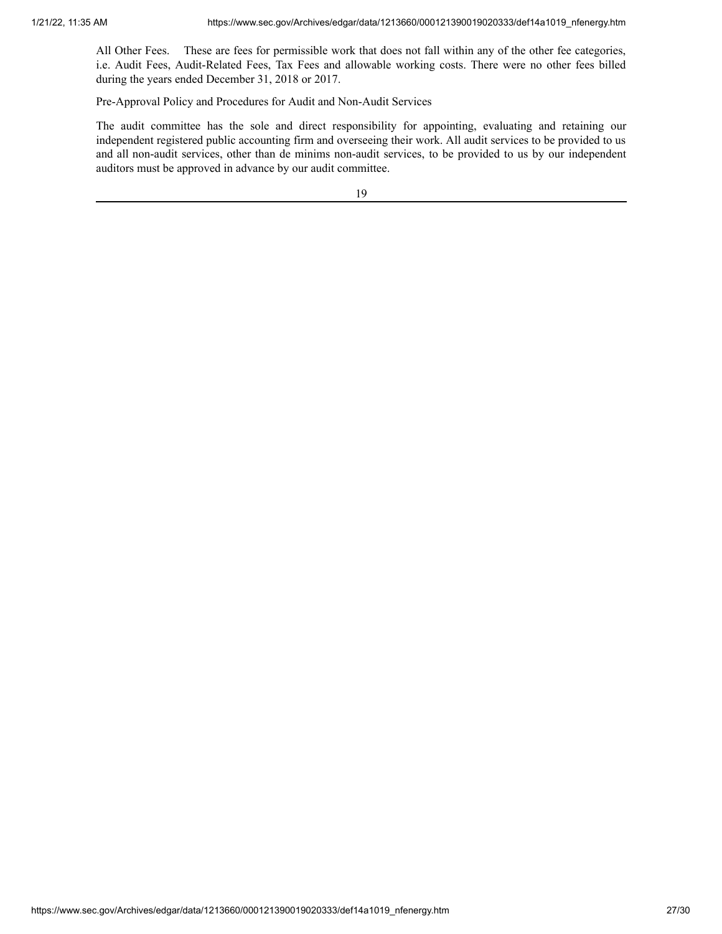All Other Fees. These are fees for permissible work that does not fall within any of the other fee categories, i.e. Audit Fees, Audit-Related Fees, Tax Fees and allowable working costs. There were no other fees billed during the years ended December 31, 2018 or 2017.

Pre-Approval Policy and Procedures for Audit and Non-Audit Services

The audit committee has the sole and direct responsibility for appointing, evaluating and retaining our independent registered public accounting firm and overseeing their work. All audit services to be provided to us and all non-audit services, other than de minims non-audit services, to be provided to us by our independent auditors must be approved in advance by our audit committee.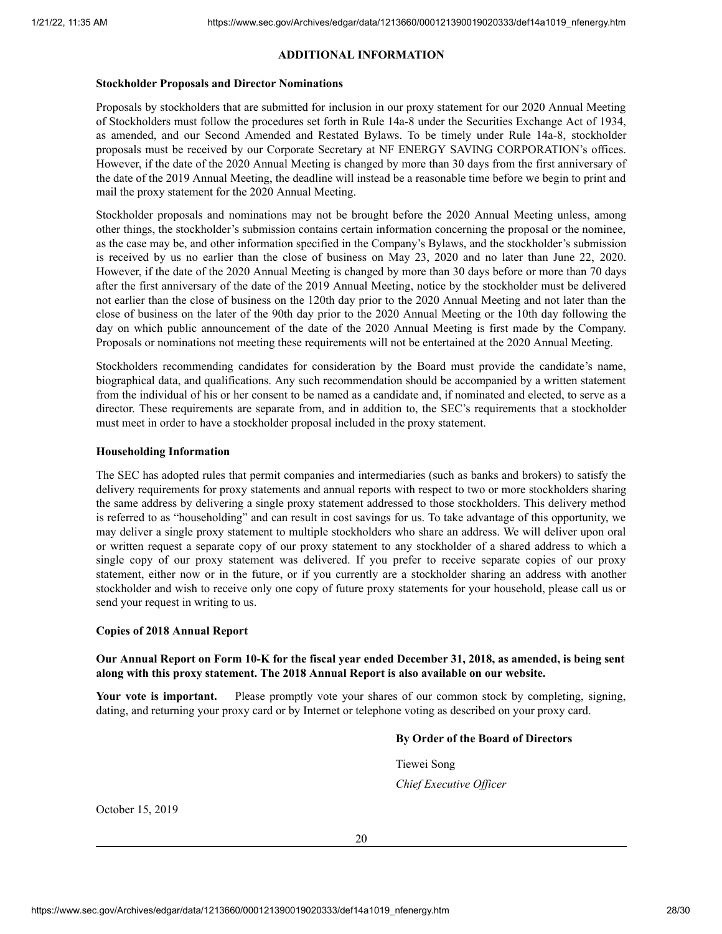#### **ADDITIONAL INFORMATION**

#### <span id="page-27-0"></span>**Stockholder Proposals and Director Nominations**

Proposals by stockholders that are submitted for inclusion in our proxy statement for our 2020 Annual Meeting of Stockholders must follow the procedures set forth in Rule 14a-8 under the Securities Exchange Act of 1934, as amended, and our Second Amended and Restated Bylaws. To be timely under Rule 14a-8, stockholder proposals must be received by our Corporate Secretary at NF ENERGY SAVING CORPORATION's offices. However, if the date of the 2020 Annual Meeting is changed by more than 30 days from the first anniversary of the date of the 2019 Annual Meeting, the deadline will instead be a reasonable time before we begin to print and mail the proxy statement for the 2020 Annual Meeting.

Stockholder proposals and nominations may not be brought before the 2020 Annual Meeting unless, among other things, the stockholder's submission contains certain information concerning the proposal or the nominee, as the case may be, and other information specified in the Company's Bylaws, and the stockholder's submission is received by us no earlier than the close of business on May 23, 2020 and no later than June 22, 2020. However, if the date of the 2020 Annual Meeting is changed by more than 30 days before or more than 70 days after the first anniversary of the date of the 2019 Annual Meeting, notice by the stockholder must be delivered not earlier than the close of business on the 120th day prior to the 2020 Annual Meeting and not later than the close of business on the later of the 90th day prior to the 2020 Annual Meeting or the 10th day following the day on which public announcement of the date of the 2020 Annual Meeting is first made by the Company. Proposals or nominations not meeting these requirements will not be entertained at the 2020 Annual Meeting.

Stockholders recommending candidates for consideration by the Board must provide the candidate's name, biographical data, and qualifications. Any such recommendation should be accompanied by a written statement from the individual of his or her consent to be named as a candidate and, if nominated and elected, to serve as a director. These requirements are separate from, and in addition to, the SEC's requirements that a stockholder must meet in order to have a stockholder proposal included in the proxy statement.

#### **Householding Information**

The SEC has adopted rules that permit companies and intermediaries (such as banks and brokers) to satisfy the delivery requirements for proxy statements and annual reports with respect to two or more stockholders sharing the same address by delivering a single proxy statement addressed to those stockholders. This delivery method is referred to as "householding" and can result in cost savings for us. To take advantage of this opportunity, we may deliver a single proxy statement to multiple stockholders who share an address. We will deliver upon oral or written request a separate copy of our proxy statement to any stockholder of a shared address to which a single copy of our proxy statement was delivered. If you prefer to receive separate copies of our proxy statement, either now or in the future, or if you currently are a stockholder sharing an address with another stockholder and wish to receive only one copy of future proxy statements for your household, please call us or send your request in writing to us.

#### **Copies of 2018 Annual Report**

#### Our Annual Report on Form 10-K for the fiscal year ended December 31, 2018, as amended, is being sent **along with this proxy statement. The 2018 Annual Report is also available on our website.**

**Your vote is important.** Please promptly vote your shares of our common stock by completing, signing, dating, and returning your proxy card or by Internet or telephone voting as described on your proxy card.

#### **By Order of the Board of Directors**

Tiewei Song *Chief Executive Of icer*

October 15, 2019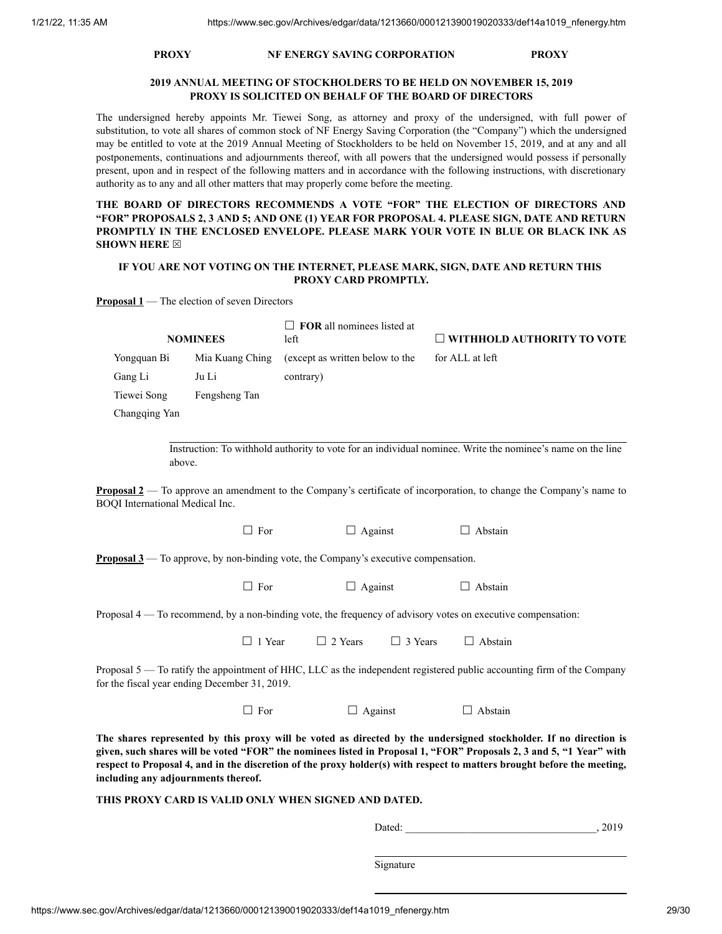#### **PROXY NF ENERGY SAVING CORPORATION PROXY**

#### **2019 ANNUAL MEETING OF STOCKHOLDERS TO BE HELD ON NOVEMBER 15, 2019 PROXY IS SOLICITED ON BEHALF OF THE BOARD OF DIRECTORS**

The undersigned hereby appoints Mr. Tiewei Song, as attorney and proxy of the undersigned, with full power of substitution, to vote all shares of common stock of NF Energy Saving Corporation (the "Company") which the undersigned may be entitled to vote at the 2019 Annual Meeting of Stockholders to be held on November 15, 2019, and at any and all postponements, continuations and adjournments thereof, with all powers that the undersigned would possess if personally present, upon and in respect of the following matters and in accordance with the following instructions, with discretionary authority as to any and all other matters that may properly come before the meeting.

**THE BOARD OF DIRECTORS RECOMMENDS A VOTE "FOR" THE ELECTION OF DIRECTORS AND "FOR" PROPOSALS 2, 3 AND 5; AND ONE (1) YEAR FOR PROPOSAL 4. PLEASE SIGN, DATE AND RETURN PROMPTLY IN THE ENCLOSED ENVELOPE. PLEASE MARK YOUR VOTE IN BLUE OR BLACK INK AS SHOWN HERE** S

#### **IF YOU ARE NOT VOTING ON THE INTERNET, PLEASE MARK, SIGN, DATE AND RETURN THIS PROXY CARD PROMPTLY.**

**Proposal 1** — The election of seven Directors

|                                                                                                                                                                                                                                                                                                                                                                                                            | <b>NOMINEES</b> | $\Box$ FOR all nominees listed at<br>left                                                  | $\Box$ WITHHOLD AUTHORITY TO VOTE                                                                                                                                                                                                        |  |
|------------------------------------------------------------------------------------------------------------------------------------------------------------------------------------------------------------------------------------------------------------------------------------------------------------------------------------------------------------------------------------------------------------|-----------------|--------------------------------------------------------------------------------------------|------------------------------------------------------------------------------------------------------------------------------------------------------------------------------------------------------------------------------------------|--|
| Yongquan Bi                                                                                                                                                                                                                                                                                                                                                                                                | Mia Kuang Ching | (except as written below to the                                                            | for ALL at left                                                                                                                                                                                                                          |  |
| Gang Li                                                                                                                                                                                                                                                                                                                                                                                                    | Ju Li           | contrary)                                                                                  |                                                                                                                                                                                                                                          |  |
| Tiewei Song                                                                                                                                                                                                                                                                                                                                                                                                | Fengsheng Tan   |                                                                                            |                                                                                                                                                                                                                                          |  |
| Changqing Yan                                                                                                                                                                                                                                                                                                                                                                                              |                 |                                                                                            |                                                                                                                                                                                                                                          |  |
| above.<br><b>BOQI</b> International Medical Inc.                                                                                                                                                                                                                                                                                                                                                           |                 |                                                                                            | Instruction: To withhold authority to vote for an individual nominee. Write the nominee's name on the line<br><b>Proposal 2</b> — To approve an amendment to the Company's certificate of incorporation, to change the Company's name to |  |
|                                                                                                                                                                                                                                                                                                                                                                                                            | $\Box$ For      | $\Box$ Against                                                                             | Abstain                                                                                                                                                                                                                                  |  |
|                                                                                                                                                                                                                                                                                                                                                                                                            |                 | <b>Proposal 3</b> — To approve, by non-binding vote, the Company's executive compensation. |                                                                                                                                                                                                                                          |  |
|                                                                                                                                                                                                                                                                                                                                                                                                            | $\Box$ For      | $\Box$ Against                                                                             | $\Box$ Abstain                                                                                                                                                                                                                           |  |
| Proposal 4 — To recommend, by a non-binding vote, the frequency of advisory votes on executive compensation:                                                                                                                                                                                                                                                                                               |                 |                                                                                            |                                                                                                                                                                                                                                          |  |
|                                                                                                                                                                                                                                                                                                                                                                                                            | $\Box$ 1 Year   | $\Box$ 2 Years                                                                             | $\Box$ 3 Years<br>$\Box$ Abstain                                                                                                                                                                                                         |  |
| for the fiscal year ending December 31, 2019.                                                                                                                                                                                                                                                                                                                                                              |                 |                                                                                            | Proposal 5 — To ratify the appointment of HHC, LLC as the independent registered public accounting firm of the Company                                                                                                                   |  |
|                                                                                                                                                                                                                                                                                                                                                                                                            | $\Box$ For      | $\Box$ Against                                                                             | $\Box$ Abstain                                                                                                                                                                                                                           |  |
| The shares represented by this proxy will be voted as directed by the undersigned stockholder. If no direction is<br>given, such shares will be voted "FOR" the nominees listed in Proposal 1, "FOR" Proposals 2, 3 and 5, "1 Year" with<br>respect to Proposal 4, and in the discretion of the proxy holder(s) with respect to matters brought before the meeting,<br>including any adjournments thereof. |                 |                                                                                            |                                                                                                                                                                                                                                          |  |

**THIS PROXY CARD IS VALID ONLY WHEN SIGNED AND DATED.**

Dated: \_\_\_\_\_\_\_\_\_\_\_\_\_\_\_\_\_\_\_\_\_\_\_\_\_\_\_\_\_\_\_\_\_\_\_\_, 2019

Signature